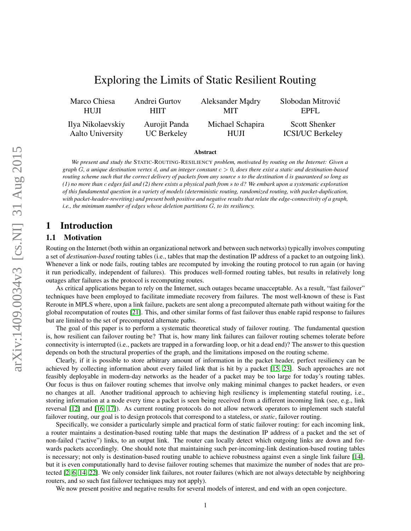# Exploring the Limits of Static Resilient Routing

<span id="page-0-0"></span>Marco Chiesa HUJI Andrei Gurtov HIIT Aleksander Mądry MIT Slobodan Mitrovic´ EPFL Ilya Nikolaevskiy Aalto University Aurojit Panda UC Berkeley Michael Schapira HUJI Scott Shenker ICSI/UC Berkeley

#### Abstract

*We present and study the* STATIC-ROUTING-RESILIENCY *problem, motivated by routing on the Internet: Given a graph* G*, a unique destination vertex* d*, and an integer constant* c > 0*, does there exist a static and destination-based routing scheme such that the correct delivery of packets from any source* s *to the destination* d *is guaranteed so long as (1) no more than* c *edges fail and (2) there exists a physical path from* s *to* d*? We embark upon a systematic exploration of this fundamental question in a variety of models (deterministic routing, randomized routing, with packet-duplication, with packet-header-rewriting) and present both positive and negative results that relate the edge-connectivity of a graph, i.e., the minimum number of edges whose deletion partitions* G*, to its resiliency.*

### 1 Introduction

#### 1.1 Motivation

Routing on the Internet (both within an organizational network and between such networks) typically involves computing a set of *destination-based* routing tables (i.e., tables that map the destination IP address of a packet to an outgoing link). Whenever a link or node fails, routing tables are recomputed by invoking the routing protocol to run again (or having it run periodically, independent of failures). This produces well-formed routing tables, but results in relatively long outages after failures as the protocol is recomputing routes.

As critical applications began to rely on the Internet, such outages became unacceptable. As a result, "fast failover" techniques have been employed to facilitate immediate recovery from failures. The most well-known of these is Fast Reroute in MPLS where, upon a link failure, packets are sent along a precomputed alternate path without waiting for the global recomputation of routes [\[21\]](#page-10-0). This, and other similar forms of fast failover thus enable rapid response to failures but are limited to the set of precomputed alternate paths.

The goal of this paper is to perform a systematic theoretical study of failover routing. The fundamental question is, how resilient can failover routing be? That is, how many link failures can failover routing schemes tolerate before connectivity is interrupted (i.e., packets are trapped in a forwarding loop, or hit a dead end)? The answer to this question depends on both the structural properties of the graph, and the limitations imposed on the routing scheme.

Clearly, if it is possible to store arbitrary amount of information in the packet header, perfect resiliency can be achieved by collecting information about every failed link that is hit by a packet [\[15,](#page-10-1) [23\]](#page-10-2). Such approaches are not feasibly deployable in modern-day networks as the header of a packet may be too large for today's routing tables. Our focus is thus on failover routing schemes that involve only making minimal changes to packet headers, or even no changes at all. Another traditional approach to achieving high resiliency is implementing stateful routing, i.e., storing information at a node every time a packet is seen being received from a different incoming link (see, e.g., link reversal [\[12\]](#page-10-3) and [\[16,](#page-10-4) [17\]](#page-10-5)). As current routing protocols do not allow network operators to implement such stateful failover routing, our goal is to design protocols that correspond to a stateless, or *static*, failover routing.

Specifically, we consider a particularly simple and practical form of static failover routing: for each incoming link, a router maintains a destination-based routing table that maps the destination IP address of a packet and the set of non-failed ("active") links, to an output link. The router can locally detect which outgoing links are down and forwards packets accordingly. One should note that maintaining such per-incoming-link destination-based routing tables is necessary; not only is destination-based routing unable to achieve robustness against even a single link failure [\[14\]](#page-10-6), but it is even computationally hard to devise failover routing schemes that maximize the number of nodes that are protected [\[2,](#page-10-7) [6,](#page-10-8) [14,](#page-10-6) [22\]](#page-10-9). We only consider link failures, not router failures (which are not always detectable by neighboring routers, and so such fast failover techniques may not apply).

We now present positive and negative results for several models of interest, and end with an open conjecture.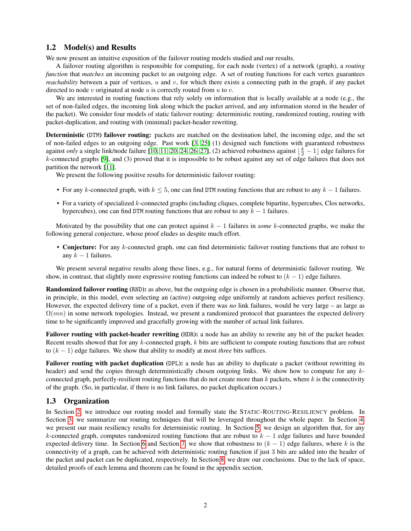#### 1.2 Model(s) and Results

We now present an intuitive exposition of the failover routing models studied and our results.

A failover routing algorithm is responsible for computing, for each node (vertex) of a network (graph), a *routing function* that *matches* an incoming packet to an outgoing edge. A set of routing functions for each vertex guarantees *reachability* between a pair of vertices,  $u$  and  $v$ , for which there exists a connecting path in the graph, if any packet directed to node v originated at node u is correctly routed from  $u$  to  $v$ .

We are interested in routing functions that rely solely on information that is locally available at a node (e.g., the set of non-failed edges, the incoming link along which the packet arrived, and any information stored in the header of the packet). We consider four models of static failover routing: deterministic routing, randomized routing, routing with packet-duplication, and routing with (minimal) packet-header rewriting.

Deterministic (DTM) failover routing: packets are matched on the destination label, the incoming edge, and the set of non-failed edges to an outgoing edge. Past work [\[3,](#page-10-10) [25\]](#page-10-11) (1) designed such functions with guaranteed robustness against *only* a single link/node failure [\[10,](#page-10-12) [11,](#page-10-13) [20,](#page-10-14) [24,](#page-10-15) [26,](#page-10-16) [27\]](#page-10-17), (2) achieved robustness against  $\lfloor \frac{k}{2} - 1 \rfloor$  edge failures for k-connected graphs [\[9\]](#page-10-18), and (3) proved that it is impossible to be robust against any set of edge failures that does not partition the network [\[11\]](#page-10-13).

We present the following positive results for deterministic failover routing:

- For any k-connected graph, with  $k \le 5$ , one can find DTM routing functions that are robust to any  $k 1$  failures.
- For a variety of specialized  $k$ -connected graphs (including cliques, complete bipartite, hypercubes, Clos networks, hypercubes), one can find DTM routing functions that are robust to any  $k - 1$  failures.

Motivated by the possibility that one can protect against  $k - 1$  failures in *some* k-connected graphs, we make the following general conjecture, whose proof eludes us despite much effort.

• Conjecture: For any k-connected graph, one can find deterministic failover routing functions that are robust to any  $k - 1$  failures.

We present several negative results along these lines, e.g., for natural forms of deterministic failover routing. We show, in contrast, that slightly more expressive routing functions can indeed be robust to  $(k - 1)$  edge failures.

Randomized failover routing (RND): as above, but the outgoing edge is chosen in a probabilistic manner. Observe that, in principle, in this model, even selecting an (active) outgoing edge uniformly at random achieves perfect resiliency. However, the expected delivery time of a packet, even if there was *no* link failures, would be very large – as large as  $\Omega(mn)$  in some network topologies. Instead, we present a randomized protocol that guarantees the expected delivery time to be significantly improved and gracefully growing with the number of actual link failures.

Failover routing with packet-header rewriting (HDR): a node has an ability to rewrite any bit of the packet header. Recent results showed that for any  $k$ -connected graph,  $k$  bits are sufficient to compute routing functions that are robust to (k − 1) edge failures. We show that ability to modify at most *three* bits suffices.

Failover routing with packet duplication (DPL): a node has an ability to duplicate a packet (without rewritting its header) and send the copies through deterministically chosen outgoing links. We show how to compute for any kconnected graph, perfectly-resilient routing functions that do not create more than  $k$  packets, where  $k$  is the connectivity of the graph. (So, in particular, if there is no link failures, no packet duplication occurs.)

#### 1.3 Organization

In Section [2,](#page-2-0) we introduce our routing model and formally state the STATIC-ROUTING-RESILIENCY problem. In Section [3,](#page-2-1) we summarize our routing techniques that will be leveraged throughout the whole paper. In Section [4,](#page-3-0) we present our main resiliency results for deterministic routing. In Section [5,](#page-5-0) we design an algorithm that, for any k-connected graph, computes randomized routing functions that are robust to  $k - 1$  edge failures and have bounded expected delivery time. In Section [6](#page-8-0) and Section [7,](#page-8-1) we show that robustness to  $(k - 1)$  edge failures, where k is the connectivity of a graph, can be achieved with deterministic routing function if just 3 bits are added into the header of the packet and packet can be duplicated, respectively. In Section [8,](#page-9-0) we draw our conclusions. Due to the lack of space, detailed proofs of each lemma and theorem can be found in the appendix section.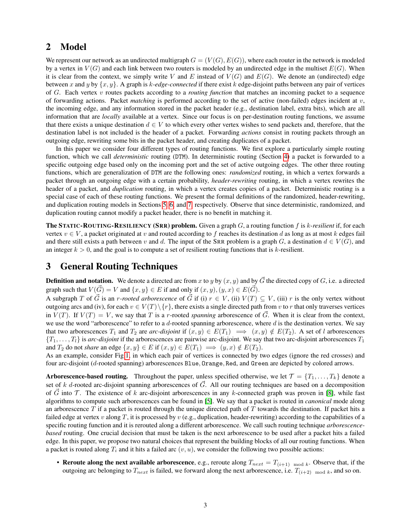## <span id="page-2-0"></span>2 Model

We represent our network as an undirected multigraph  $G = (V(G), E(G))$ , where each router in the network is modeled by a vertex in  $V(G)$  and each link between two routers is modeled by an undirected edge in the multiset  $E(G)$ . When it is clear from the context, we simply write V and E instead of  $V(G)$  and  $E(G)$ . We denote an (undirected) edge between x and y by  $\{x, y\}$ . A graph is k-edge-connected if there exist k edge-disjoint paths between any pair of vertices of G. Each vertex v routes packets according to a *routing function* that matches an incoming packet to a sequence of forwarding actions. Packet *matching* is performed according to the set of active (non-failed) edges incident at v, the incoming edge, and any information stored in the packet header (e.g., destination label, extra bits), which are all information that are *locally* available at a vertex. Since our focus is on per-destination routing functions, we assume that there exists a unique destination  $d \in V$  to which every other vertex wishes to send packets and, therefore, that the destination label is not included is the header of a packet. Forwarding *actions* consist in routing packets through an outgoing edge, rewriting some bits in the packet header, and creating duplicates of a packet.

In this paper we consider four different types of routing functions. We first explore a particularly simple routing function, which we call *deterministic* routing (DTM). In deterministic routing (Section [4\)](#page-3-0) a packet is forwarded to a specific outgoing edge based only on the incoming port and the set of active outgoing edges. The other three routing functions, which are generalization of DTM are the following ones: *randomized* routing, in which a vertex forwards a packet through an outgoing edge with a certain probability, *header-rewriting* routing, in which a vertex rewrites the header of a packet, and *duplication* routing, in which a vertex creates copies of a packet. Deterministic routing is a special case of each of these routing functions. We present the formal definitions of the randomized, header-rewriting, and duplication routing models in Sections [5,](#page-5-0) [6,](#page-8-0) and [7,](#page-8-1) respectively. Observe that since deterministic, randomized, and duplication routing cannot modify a packet header, there is no benefit in matching it.

The STATIC-ROUTING-RESILIENCY (SRR) problem. Given a graph G, a routing function f is k*-resilient* if, for each vertex  $v \in V$ , a packet originated at v and routed according to f reaches its destination d as long as at most k edges fail and there still exists a path between v and d. The input of the SRR problem is a graph G, a destination  $d \in V(G)$ , and an integer  $k > 0$ , and the goal is to compute a set of resilient routing functions that is k-resilient.

## <span id="page-2-1"></span>3 General Routing Techniques

**Definition and notation.** We denote a directed arc from x to y by  $(x, y)$  and by  $\vec{G}$  the directed copy of G, i.e. a directed graph such that  $V(\vec{G}) = V$  and  $\{x, y\} \in E$  if and only if  $(x, y), (y, x) \in E(\vec{G})$ .

A subgraph T of  $\vec{G}$  is an r-rooted arborescence of  $\vec{G}$  if (i)  $r \in V$ , (ii)  $V(T) \subseteq V$ , (iii) r is the only vertex without outgoing arcs and (iv), for each  $v \in V(T) \setminus \{r\}$ , there exists a single directed path from v to r that only traverses vertices in  $V(T)$ . If  $V(T) = V$ , we say that T is a r-rooted *spanning* arborescence of  $\vec{G}$ . When it is clear from the context, we use the word "arborescence" to refer to a  $d$ -rooted spanning arborescence, where  $d$  is the destination vertex. We say that two arborescences  $T_1$  and  $T_2$  are *arc-disjoint* if  $(x, y) \in E(T_1) \implies (x, y) \notin E(T_2)$ . A set of l arborescences  ${T_1, \ldots, T_l}$  is *arc-disjoint* if the arborescences are pairwise arc-disjoint. We say that two arc-disjoint arborescences  $T_1$ and  $T_2$  do not *share* an edge  $\{x, y\} \in E$  if  $(x, y) \in E(T_1) \implies (y, x) \notin E(T_2)$ .

As an example, consider Fig[.1,](#page-3-1) in which each pair of vertices is connected by two edges (ignore the red crosses) and four arc-disjoint (d-rooted spanning) arborescences Blue, Orange, Red, and Green are depicted by colored arrows.

**Arborescence-based routing.** Throughout the paper, unless specified otherwise, we let  $\mathcal{T} = \{T_1, \ldots, T_k\}$  denote a set of k d-rooted arc-disjoint spanning arborescences of  $\vec{G}$ . All our routing techniques are based on a decomposition of G into T. The existence of k arc-disjoint arborescences in any k-connected graph was proven in [\[8\]](#page-10-19), while fast algorithms to compute such arborescences can be found in [\[5\]](#page-10-20). We say that a packet is routed in *canonical* mode along an arborescence  $T$  if a packet is routed through the unique directed path of  $T$  towards the destination. If packet hits a failed edge at vertex v along T, it is processed by v (e.g., duplication, header-rewriting) according to the capabilities of a specific routing function and it is rerouted along a different arborescence. We call such routing technique *arborescencebased* routing. One crucial decision that must be taken is the next arborescence to be used after a packet hits a failed edge. In this paper, we propose two natural choices that represent the building blocks of all our routing functions. When a packet is routed along  $T_i$  and it hits a failed arc  $(v, u)$ , we consider the following two possible actions:

• Reroute along the next available arborescence, e.g., reroute along  $T_{next} = T_{(i+1) \mod k}$ . Observe that, if the outgoing arc belonging to  $T_{next}$  is failed, we forward along the next arborescence, i.e.  $T_{(i+2) \mod k}$ , and so on.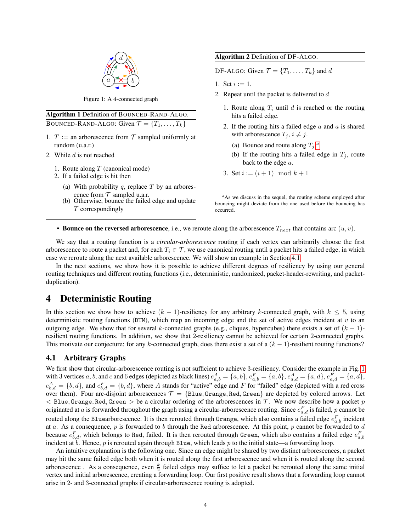<span id="page-3-1"></span>

Figure 1: A 4-connected graph

| Algorithm 1 Definition of BOUNCED-RAND-ALGO.                  |
|---------------------------------------------------------------|
| BOUNCED-RAND-ALGO: Given $\mathcal{T} = \{T_1, \ldots, T_k\}$ |

- 1. T := an arborescence from  $\mathcal T$  sampled uniformly at random (u.a.r.)
- 2. While  $d$  is not reached
	- 1. Route along  $T$  (canonical mode)
	- 2. If a failed edge is hit then
		- (a) With probability q, replace  $T$  by an arborescence from  $T$  sampled u.a.r.
		- (b) Otherwise, bounce the failed edge and update T correspondingly

#### Algorithm 2 Definition of DF-ALGO.

DF-ALGO: Given  $\mathcal{T} = \{T_1, \ldots, T_k\}$  and d

- 1. Set  $i := 1$ .
- 2. Repeat until the packet is delivered to  $d$ 
	- 1. Route along  $T_i$  until d is reached or the routing hits a failed edge.
	- 2. If the routing hits a failed edge  $a$  and  $a$  is shared with arborescence  $T_j$ ,  $i \neq j$ .
		- ([a](#page-3-2)) Bounce and route along  $T_j$ .<sup>*a*</sup>
		- (b) If the routing hits a failed edge in  $T_i$ , route back to the edge a.
	- 3. Set  $i := (i + 1) \mod k + 1$

• Bounce on the reversed arborescence, i.e., we reroute along the arborescence  $T_{next}$  that contains arc  $(u, v)$ .

We say that a routing function is a *circular-arborescence* routing if each vertex can arbitrarily choose the first arborescence to route a packet and, for each  $T_i \in \mathcal{T}$ , we use canonical routing until a packet hits a failed edge, in which case we reroute along the next available arborescence. We will show an example in Section [4.1.](#page-3-3)

In the next sections, we show how it is possible to achieve different degrees of resiliency by using our general routing techniques and different routing functions (i.e., deterministic, randomized, packet-header-rewriting, and packetduplication).

### <span id="page-3-0"></span>4 Deterministic Routing

In this section we show how to achieve  $(k - 1)$ -resiliency for any arbitrary k-connected graph, with  $k \leq 5$ , using deterministic routing functions (DTM), which map an incoming edge and the set of active edges incident at  $v$  to an outgoing edge. We show that for several k-connected graphs (e.g., cliques, hypercubes) there exists a set of  $(k - 1)$ resilient routing functions. In addition, we show that 2-resiliency cannot be achieved for certain 2-connected graphs. This motivate our conjecture: for any k-connected graph, does there exist a set of a  $(k - 1)$ -resilient routing functions?

#### <span id="page-3-3"></span>4.1 Arbitrary Graphs

We first show that circular-arborescence routing is not sufficient to achieve 3-resiliency. Consider the example in Fig. [1](#page-3-1) with 3 vertices a, b, and c and 6 edges (depicted as black lines)  $e_{a,b}^A = \{a,b\}$ ,  $e_{a,b}^F = \{a,b\}$ ,  $e_{a,d}^A = \{a,d\}$ ,  $e_{a,d}^F = \{a,d\}$ ,  $e_{b,d}^A = \{b,d\}$ , and  $e_{b,d}^F = \{b,d\}$ , where A stands for "active" edge and F for "failed" edge (depicted with a red cross over them). Four arc-disjoint arborescences  $\mathcal{T} = \{Blue, Orange, Red, Green\}$  are depicted by colored arrows. Let  $<$  Blue, Orange, Red, Green  $>$  be a circular ordering of the arborescences in T. We now describe how a packet p originated at a is forwarded throughout the graph using a circular-arborescence routing. Since  $e_{a,d}^F$  is failed, p cannot be routed along the Bluearborescence. It is then rerouted through Orange, which also contains a failed edge  $e_{a,b}^F$  incident at  $a$ . As a consequence,  $p$  is forwarded to  $b$  through the Red arborescence. At this point,  $p$  cannot be forwarded to  $d$ because  $e_{b,d}^F$ , which belongs to Red, failed. It is then rerouted through Green, which also contains a failed edge  $e_{a,b}^F$ incident at  $b$ . Hence,  $p$  is rerouted again through Blue, which leads  $p$  to the initial state—a forwarding loop.

<span id="page-3-4"></span>An intuitive explanation is the following one. Since an edge might be shared by two distinct arborescences, a packet may hit the same failed edge both when it is routed along the first arborescence and when it is routed along the second arborescence. As a consequence, even  $\frac{k}{2}$  failed edges may suffice to let a packet be rerouted along the same initial vertex and initial arborescence, creating a forwarding loop. Our first positive result shows that a forwarding loop cannot arise in 2- and 3-connected graphs if circular-arborescence routing is adopted.

<span id="page-3-2"></span>*<sup>a</sup>*As we discuss in the sequel, the routing scheme employed after bouncing might deviate from the one used before the bouncing has occurred.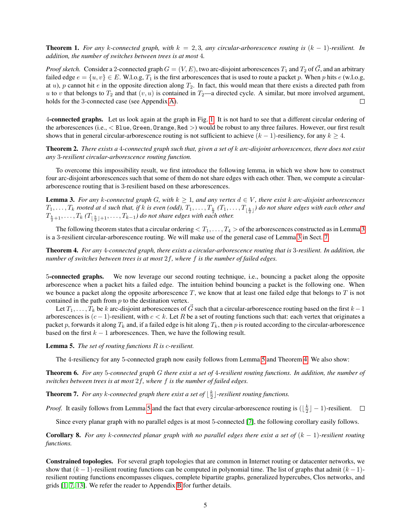**Theorem 1.** For any k-connected graph, with  $k = 2, 3$ , any circular-arborescence routing is  $(k - 1)$ -resilient. In *addition, the number of switches between trees is at most* 4*.*

*Proof sketch.* Consider a 2-connected graph  $G = (V, E)$ , two arc-disjoint arborescences  $T_1$  and  $T_2$  of  $\vec{G}$ , and an arbitrary failed edge  $e = \{u, v\} \in E$ . W.l.o.g,  $T_1$  is the first arborescences that is used to route a packet p. When p hits e (w.l.o.g, at u), p cannot hit e in the opposite direction along  $T_2$ . In fact, this would mean that there exists a directed path from u to v that belongs to  $T_2$  and that  $(v, u)$  is contained in  $T_2$ —a directed cycle. A similar, but more involved argument, holds for the 3-connected case (see Appendix [A\)](#page-10-21).  $\Box$ 

4-connected graphs. Let us look again at the graph in Fig. [1.](#page-3-1) It is not hard to see that a different circular ordering of the arborescences (i.e., < Blue, Green, Orange, Red >) would be robust to any three failures. However, our first result shows that in general circular-arborescence routing is not sufficient to achieve  $(k - 1)$ -resiliency, for any  $k \ge 4$ .

<span id="page-4-3"></span>Theorem 2. *There exists a* 4*-connected graph such that, given a set of* k *arc-disjoint arborescences, there does not exist any* 3*-resilient circular-arborescence routing function.*

To overcome this impossibility result, we first introduce the following lemma, in which we show how to construct four arc-disjoint arborescences such that some of them do not share edges with each other. Then, we compute a circulararborescence routing that is 3-resilient based on these arborescences.

<span id="page-4-0"></span>**Lemma 3.** For any k-connected graph G, with  $k \geq 1$ , and any vertex  $d \in V$ , there exist k arc-disjoint arborescences  $T_1, \ldots, T_k$  rooted at  $d$  such that, if  $k$  is even (odd),  $T_1, \ldots, T_{\frac{k}{2}}(T_1, \ldots, T_{\lfloor \frac{k}{2} \rfloor})$  do not share edges with each other and  $\overline{T_{\frac{k}{2}+1},\ldots,T_k}$  ( $T_{\lfloor\frac{k}{2}\rfloor+1},\ldots,T_{k-1})$  do not share edges with each other.

The following theorem states that a circular ordering  $\langle T_1,\ldots,T_4\rangle$  of the arborescences constructed as in Lemma [3](#page-4-0) is a 3-resilient circular-arborescence routing. We will make use of the general case of Lemma [3](#page-4-0) in Sect. [7.](#page-8-1)

<span id="page-4-2"></span>Theorem 4. *For any* 4*-connected graph, there exists a circular-arborescence routing that is* 3*-resilient. In addition, the number of switches between trees is at most* 2f*, where* f *is the number of failed edges.*

5-connected graphs. We now leverage our second routing technique, i.e., bouncing a packet along the opposite arborescence when a packet hits a failed edge. The intuition behind bouncing a packet is the following one. When we bounce a packet along the opposite arborescence  $T$ , we know that at least one failed edge that belongs to  $T$  is not contained in the path from p to the destination vertex.

Let  $T_1, \ldots, T_k$  be k arc-disjoint arborescences of  $\vec{G}$  such that a circular-arborescence routing based on the first  $k - 1$ arborescences is  $(c-1)$ -resilient, with  $c < k$ . Let R be a set of routing functions such that: each vertex that originates a packet p, forwards it along  $T_k$  and, if a failed edge is hit along  $T_k$ , then p is routed according to the circular-arborescence based on the first  $k - 1$  arborescences. Then, we have the following result.

<span id="page-4-1"></span>Lemma 5. *The set of routing functions* R *is* c*-resilient.*

The 4-resiliency for any 5-connected graph now easily follows from Lemma [5](#page-4-1) and Theorem [4.](#page-4-2) We also show:

Theorem 6. *For any* 5*-connected graph* G *there exist a set of* 4*-resilient routing functions. In addition, the number of switches between trees is at most* 2f*, where* f *is the number of failed edges.*

**Theorem 7.** For any k-connected graph there exist a set of  $\lfloor \frac{k}{2} \rfloor$ -resilient routing functions.

*Proof.* It easily follows from Lemma [5](#page-4-1) and the fact that every circular-arborescence routing is  $(\lfloor \frac{k}{2} \rfloor - 1)$ -resilient.

Since every planar graph with no parallel edges is at most 5-connected [\[7\]](#page-10-22), the following corollary easily follows.

Corollary 8. *For any* k*-connected planar graph with no parallel edges there exist a set of* (k − 1)*-resilient routing functions.*

Constrained topologies. For several graph topologies that are common in Internet routing or datacenter networks, we show that  $(k-1)$ -resilient routing functions can be computed in polynomial time. The list of graphs that admit  $(k-1)$ resilient routing functions encompasses cliques, complete bipartite graphs, generalized hypercubes, Clos networks, and grids [\[1,](#page-10-23) [7,](#page-10-22) [13\]](#page-10-24). We refer the reader to Appendix [B](#page-15-0) for further details.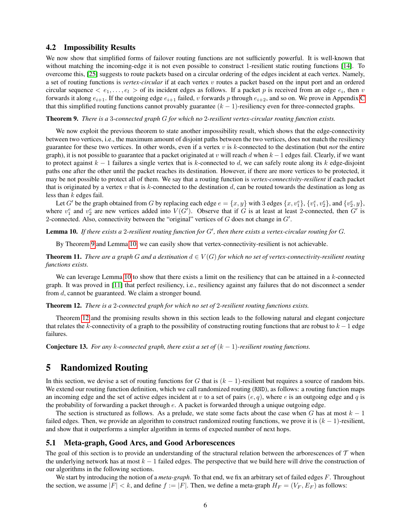#### 4.2 Impossibility Results

We now show that simplified forms of failover routing functions are not sufficiently powerful. It is well-known that without matching the incoming-edge it is not even possible to construct 1-resilient static routing functions [\[14\]](#page-10-6). To overcome this, [\[25\]](#page-10-11) suggests to route packets based on a circular ordering of the edges incident at each vertex. Namely, a set of routing functions is *vertex-circular* if at each vertex v routes a packet based on the input port and an ordered circular sequence  $\langle e_1,\ldots,e_l\rangle$  of its incident edges as follows. If a packet p is received from an edge  $e_i$ , then v forwards it along  $e_{i+1}$ . If the outgoing edge  $e_{i+1}$  failed, v forwards p through  $e_{i+2}$ , and so on. We prove in Appendix [C](#page-20-0) that this simplified routing functions cannot provably guarantee  $(k - 1)$ -resiliency even for three-connected graphs.

<span id="page-5-1"></span>Theorem 9. *There is a* 3*-connected graph* G *for which no* 2*-resilient vertex-circular routing function exists.*

We now exploit the previous theorem to state another impossibility result, which shows that the edge-connectivity between two vertices, i.e., the maximum amount of disjoint paths between the two vertices, does not match the resiliency guarantee for these two vertices. In other words, even if a vertex v is k-connected to the destination (but *not* the entire graph), it is not possible to guarantee that a packet originated at v will reach d when  $k - 1$  edges fail. Clearly, if we want to protect against  $k - 1$  failures a single vertex that is k-connected to d, we can safely route along its k edge-disjoint paths one after the other until the packet reaches its destination. However, if there are more vertices to be protected, it may be not possible to protect all of them. We say that a routing function is *vertex-connectivity-resilient* if each packet that is originated by a vertex v that is k-connected to the destination d, can be routed towards the destination as long as less than  $k$  edges fail.

Let G' be the graph obtained from G by replacing each edge  $e = \{x, y\}$  with 3 edges  $\{x, v_1^e\}$ ,  $\{v_1^e, v_2^e\}$ , and  $\{v_2^e, y\}$ , where  $v_1^e$  and  $v_2^e$  are new vertices added into  $V(G')$ . Observe that if G is at least at least 2-connected, then G' is 2-connected. Also, connectivity between the "original" vertices of  $G$  does not change in  $G'$ .

<span id="page-5-2"></span>Lemma 10. If there exists a 2-resilient routing function for G', then there exists a vertex-circular routing for G.

By Theorem [9](#page-5-1) and Lemma [10,](#page-5-2) we can easily show that vertex-connectivity-resilient is not achievable.

<span id="page-5-5"></span>**Theorem 11.** *There are a graph* G *and a destination*  $d \in V(G)$  *for which no set of vertex-connectivity-resilient routing functions exists.*

We can leverage Lemma [10](#page-5-2) to show that there exists a limit on the resiliency that can be attained in a  $k$ -connected graph. It was proved in [\[11\]](#page-10-13) that perfect resiliency, i.e., resiliency against any failures that do not disconnect a sender from d, cannot be guaranteed. We claim a stronger bound.

<span id="page-5-3"></span>Theorem 12. *There is a* 2*-connected graph for which no set of* 2*-resilient routing functions exists.*

Theorem [12](#page-5-3) and the promising results shown in this section leads to the following natural and elegant conjecture that relates the k-connectivity of a graph to the possibility of constructing routing functions that are robust to  $k - 1$  edge failures.

**Conjecture 13.** *For any k-connected graph, there exist a set of*  $(k - 1)$ *-resilient routing functions.* 

### <span id="page-5-0"></span>5 Randomized Routing

In this section, we devise a set of routing functions for G that is  $(k - 1)$ -resilient but requires a source of random bits. We extend our routing function definition, which we call randomized routing (RND), as follows: a routing function maps an incoming edge and the set of active edges incident at v to a set of pairs  $(e, q)$ , where e is an outgoing edge and q is the probability of forwarding a packet through e. A packet is forwarded through a unique outgoing edge.

The section is structured as follows. As a prelude, we state some facts about the case when G has at most  $k - 1$ failed edges. Then, we provide an algorithm to construct randomized routing functions, we prove it is  $(k - 1)$ -resilient, and show that it outperforms a simpler algorithm in terms of expected number of next hops.

#### <span id="page-5-4"></span>5.1 Meta-graph, Good Arcs, and Good Arborescences

The goal of this section is to provide an understanding of the structural relation between the arborescences of  $\tau$  when the underlying network has at most  $k - 1$  failed edges. The perspective that we build here will drive the construction of our algorithms in the following sections.

We start by introducing the notion of a *meta-graph*. To that end, we fix an arbitrary set of failed edges F. Throughout the section, we assume  $|F| < k$ , and define  $f := |F|$ . Then, we define a meta-graph  $H_F = (V_F, E_F)$  as follows: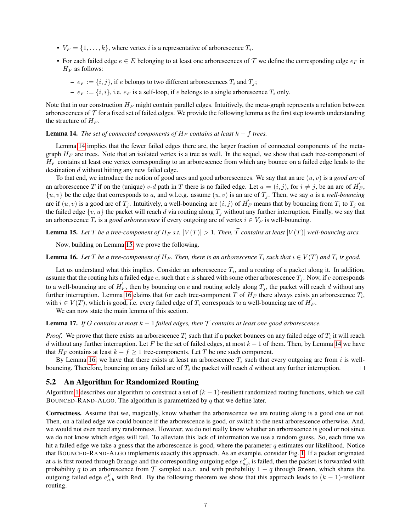- $V_F = \{1, \ldots, k\}$ , where vertex *i* is a representative of arborescence  $T_i$ .
- For each failed edge  $e \in E$  belonging to at least one arborescences of T we define the corresponding edge  $e_F$  in  $H_F$  as follows:
	- $-e_F := \{i, j\}$ , if e belongs to two different arborescences  $T_i$  and  $T_j$ ;
	- $-e_F := \{i, i\}$ , i.e.  $e_F$  is a self-loop, if e belongs to a single arborescence  $T_i$  only.

Note that in our construction  $H_F$  might contain parallel edges. Intuitively, the meta-graph represents a relation between arborescences of  $\mathcal T$  for a fixed set of failed edges. We provide the following lemma as the first step towards understanding the structure of  $H_F$ .

<span id="page-6-0"></span>**Lemma 14.** *The set of connected components of*  $H_F$  *contains at least*  $k - f$  *trees.* 

Lemma [14](#page-6-0) implies that the fewer failed edges there are, the larger fraction of connected components of the metagraph  $H_F$  are trees. Note that an isolated vertex is a tree as well. In the sequel, we show that each tree-component of  $H_F$  contains at least one vertex corresponding to an arborescence from which any bounce on a failed edge leads to the destination d without hitting any new failed edge.

To that end, we introduce the notion of good arcs and good arborescences. We say that an arc  $(u, v)$  is a *good arc* of an arborescence T if on the (unique) v-d path in T there is no failed edge. Let  $a = (i, j)$ , for  $i \neq j$ , be an arc of  $\vec{H_F}$ ,  $\{u, v\}$  be the edge that corresponds to a, and w.l.o.g. assume  $(u, v)$  is an arc of  $T_j$ . Then, we say a is a *well-bouncing* arc if  $(u, v)$  is a good arc of  $T_j$ . Intuitively, a well-bouncing arc  $(i, j)$  of  $\vec{H_F}$  means that by bouncing from  $T_i$  to  $T_j$  on the failed edge  $\{v, u\}$  the packet will reach d via routing along  $T_j$  without any further interruption. Finally, we say that an arborescence  $T_i$  is a *good arborescence* if every outgoing arc of vertex  $i \in V_F$  is well-bouncing.

<span id="page-6-1"></span>**Lemma 15.** Let T be a tree-component of  $H_F$  s.t.  $|V(T)| > 1$ . Then,  $\vec{T}$  contains at least  $|V(T)|$  well-bouncing arcs.

Now, building on Lemma [15,](#page-6-1) we prove the following.

<span id="page-6-2"></span>**Lemma 16.** Let T be a tree-component of  $H_F$ . Then, there is an arborescence  $T_i$  such that  $i \in V(T)$  and  $T_i$  is good.

Let us understand what this implies. Consider an arborescence  $T_i$ , and a routing of a packet along it. In addition, assume that the routing hits a failed edge e, such that e is shared with some other arborescence  $T_j$ . Now, if e corresponds to a well-bouncing arc of  $\vec{H_F}$ , then by bouncing on e and routing solely along  $T_j$ , the packet will reach d without any further interruption. Lemma [16](#page-6-2) claims that for each tree-component T of  $H_F$  there always exists an arborescence  $T_i$ , with  $i \in V(T)$ , which is good, i.e. every failed edge of  $T_i$  corresponds to a well-bouncing arc of  $\vec{H_F}$ .

We can now state the main lemma of this section.

<span id="page-6-3"></span>**Lemma 17.** *If* G contains at most  $k - 1$  failed edges, then  $\mathcal T$  contains at least one good arborescence.

*Proof.* We prove that there exists an arborescence  $T_i$  such that if a packet bounces on any failed edge of  $T_i$  it will reach d without any further interruption. Let F be the set of failed edges, at most  $k - 1$  of them. Then, by Lemma [14](#page-6-0) we have that  $H_F$  contains at least  $k - f \geq 1$  tree-components. Let T be one such component.

By Lemma [16,](#page-6-2) we have that there exists at least an arborescence  $T_i$  such that every outgoing arc from i is wellbouncing. Therefore, bouncing on any failed arc of  $T_i$  the packet will reach  $d$  without any further interruption. П

#### 5.2 An Algorithm for Randomized Routing

Algorithm [1](#page-0-0) describes our algorithm to construct a set of  $(k - 1)$ -resilient randomized routing functions, which we call BOUNCED-RAND-ALGO. The algorithm is parametrized by  $q$  that we define later.

<span id="page-6-4"></span>Correctness. Assume that we, magically, know whether the arborescence we are routing along is a good one or not. Then, on a failed edge we could bounce if the arborescence is good, or switch to the next arborescence otherwise. And, we would not even need any randomness. However, we do not really know whether an arborescence is good or not since we do not know which edges will fail. To alleviate this lack of information we use a random guess. So, each time we hit a failed edge we take a guess that the arborescence is good, where the parameter  $q$  estimates our likelihood. Notice that BOUNCED-RAND-ALGO implements exactly this approach. As an example, consider Fig. [1.](#page-3-1) If a packet originated at a is first routed through Orange and the corresponding outgoing edge  $e_{a,b}^F$  is failed, then the packet is forwarded with probability q to an arborescence from  $\mathcal T$  sampled u.a.r. and with probability  $1 - q$  through Green, which shares the outgoing failed edge  $e_{a,b}^F$  with Red. By the following theorem we show that this approach leads to  $(k-1)$ -resilient routing.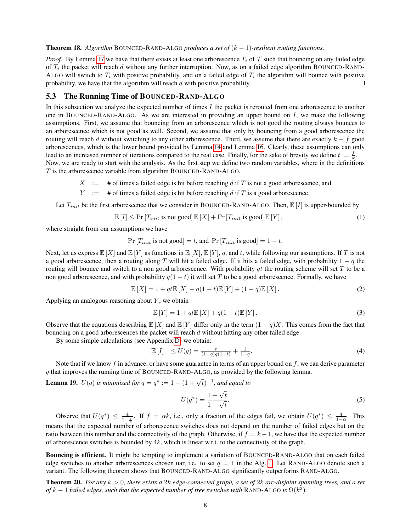#### Theorem 18. *Algorithm* BOUNCED-RAND-ALGO *produces a set of* (k − 1)*-resilient routing functions.*

*Proof.* By Lemma [17](#page-6-3) we have that there exists at least one arborescence  $T_i$  of  $\mathcal T$  such that bouncing on any failed edge of  $T_i$  the packet will reach d without any further interruption. Now, as on a failed edge algorithm BOUNCED-RAND-ALGO will switch to  $T_i$  with positive probability, and on a failed edge of  $T_i$  the algorithm will bounce with positive probability, we have that the algorithm will reach d with positive probability.  $\Box$ 

### <span id="page-7-0"></span>5.3 The Running Time of BOUNCED-RAND-ALGO

In this subsection we analyze the expected number of times I the packet is rerouted from one arborescence to another one in BOUNCED-RAND-ALGO. As we are interested in providing an upper bound on  $I$ , we make the following assumptions. First, we assume that bouncing from an arborescence which is not good the routing always bounces to an arborescence which is not good as well. Second, we assume that only by bouncing from a good arborescence the routing will reach d without switching to any other arborescence. Third, we assume that there are exactly  $k - f$  good arborescences, which is the lower bound provided by Lemma [14](#page-6-0) and Lemma [16.](#page-6-2) Clearly, these assumptions can only lead to an increased number of iterations compared to the real case. Finally, for the sake of brevity we define  $t := \frac{f}{k}$ . Now, we are ready to start with the analysis. As the first step we define two random variables, where in the definitions T is the arborescence variable from algorithm BOUNCED-RAND-ALGO,

- $X := #$  of times a failed edge is hit before reaching d if T is not a good arborescence, and
- $Y := #$  of times a failed edge is hit before reaching d if T is a good arborescence.

Let  $T_{init}$  be the first arborescence that we consider in BOUNCED-RAND-ALGO. Then,  $\mathbb{E}[I]$  is upper-bounded by

<span id="page-7-3"></span>
$$
\mathbb{E}[I] \le \Pr\left[T_{init} \text{ is not good}\right] \mathbb{E}[X] + \Pr\left[T_{init} \text{ is good}\right] \mathbb{E}[Y],\tag{1}
$$

where straight from our assumptions we have

$$
Pr[T_{init} \text{ is not good}] = t, \text{ and } Pr[T_{init} \text{ is good}] = 1 - t.
$$

Next, let us express  $\mathbb{E}[X]$  and  $\mathbb{E}[Y]$  as functions in  $\mathbb{E}[X], \mathbb{E}[Y], q$ , and t, while following our assumptions. If T is not a good arborescence, then a routing along T will hit a failed edge. If it hits a failed edge, with probability  $1 - q$  the routing will bounce and switch to a non good arborescence. With probability  $q_t$  the routing scheme will set T to be a non good arborescence, and with probability  $q(1 - t)$  it will set T to be a good arborescence. Formally, we have

<span id="page-7-1"></span>
$$
\mathbb{E}[X] = 1 + qt\mathbb{E}[X] + q(1-t)\mathbb{E}[Y] + (1-q)\mathbb{E}[X].
$$
\n(2)

Applying an analogous reasoning about  $Y$ , we obtain

<span id="page-7-2"></span>
$$
\mathbb{E}[Y] = 1 + qt\mathbb{E}[X] + q(1-t)\mathbb{E}[Y].
$$
\n(3)

Observe that the equations describing  $\mathbb{E}[X]$  and  $\mathbb{E}[Y]$  differ only in the term  $(1 - q)X$ . This comes from the fact that bouncing on a good arborescences the packet will reach  $d$  without hitting any other failed edge.

By some simple calculations (see Appendix [D\)](#page-22-0) we obtain:

<span id="page-7-4"></span>
$$
\mathbb{E}[I] \le U(q) = \frac{t}{(1-q)q(1-t)} + \frac{1}{1-q}.\tag{4}
$$

Note that if we know  $f$  in advance, or have some guarantee in terms of an upper bound on  $f$ , we can derive parameter q that improves the running time of BOUNCED-RAND-ALGO, as provided by the following lemma.

<span id="page-7-5"></span>**Lemma 19.**  $U(q)$  is minimized for  $q = q^* := 1 - (1 + \sqrt{t})^{-1}$ , and equal to

<span id="page-7-6"></span>
$$
U(q^*) = \frac{1 + \sqrt{t}}{1 - \sqrt{t}}.\tag{5}
$$

Observe that  $U(q^*) \leq \frac{4}{1}$  $\frac{4}{1-\frac{f}{k}}$ . If  $f = \alpha k$ , i.e., only a fraction of the edges fail, we obtain  $U(q^*) \leq \frac{4}{1-\alpha}$ . This means that the expected number of arborescence switches does not depend on the number of failed edges but on the ratio between this number and the connectivity of the graph. Otherwise, if  $f = k - 1$ , we have that the expected number of arborescence switches is bounded by  $4k$ , which is linear w.r.t. to the connectivity of the graph.

Bouncing is efficient. It might be tempting to implement a variation of BOUNCED-RAND-ALGO that on each failed edge switches to another arborescences chosen uar, i.e. to set  $q = 1$  in the Alg. [1.](#page-0-0) Let RAND-ALGO denote such a variant. The following theorem shows that BOUNCED-RAND-ALGO significantly outperforms RAND-ALGO.

<span id="page-7-7"></span>Theorem 20. *For any* k > 0*, there exists a* 2k *edge-connected graph, a set of* 2k *arc-disjoint spanning trees, and a set of*  $k-1$  *failed edges, such that the expected number of tree switches with* RAND-ALGO *is*  $\Omega(k^2)$ *.*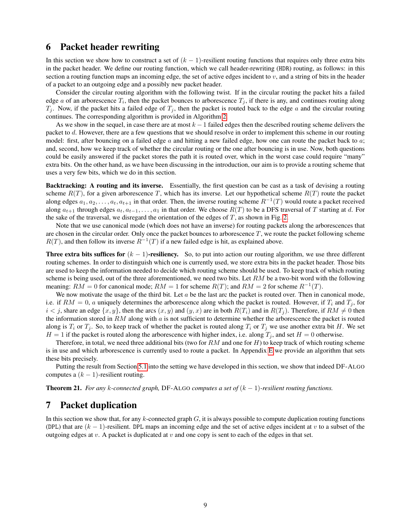### <span id="page-8-0"></span>6 Packet header rewriting

In this section we show how to construct a set of  $(k - 1)$ -resilient routing functions that requires only three extra bits in the packet header. We define our routing function, which we call header-rewriting (HDR) routing, as follows: in this section a routing function maps an incoming edge, the set of active edges incident to  $v$ , and a string of bits in the header of a packet to an outgoing edge and a possibly new packet header.

Consider the circular routing algorithm with the following twist. If in the circular routing the packet hits a failed edge a of an arborescence  $T_i$ , then the packet bounces to arborescence  $T_j$ , if there is any, and continues routing along  $T_j$ . Now, if the packet hits a failed edge of  $T_j$ , then the packet is routed back to the edge a and the circular routing continues. The corresponding algorithm is provided in Algorithm [2.](#page-0-0)

As we show in the sequel, in case there are at most  $k - 1$  failed edges then the described routing scheme delivers the packet to d. However, there are a few questions that we should resolve in order to implement this scheme in our routing model: first, after bouncing on a failed edge  $\alpha$  and hitting a new failed edge, how one can route the packet back to  $\alpha$ ; and, second, how we keep track of whether the circular routing or the one after bouncing is in use. Now, both questions could be easily answered if the packet stores the path it is routed over, which in the worst case could require "many" extra bits. On the other hand, as we have been discussing in the introduction, our aim is to provide a routing scheme that uses a very few bits, which we do in this section.

Backtracking: A routing and its inverse. Essentially, the first question can be cast as a task of devising a routing scheme  $R(T)$ , for a given arborescence T, which has its inverse. Let our hypothetical scheme  $R(T)$  route the packet along edges  $a_1, a_2, \ldots, a_t, a_{t+1}$  in that order. Then, the inverse routing scheme  $R^{-1}(T)$  would route a packet received along  $a_{t+1}$  through edges  $a_t, a_{t-1}, \ldots, a_1$  in that order. We choose  $R(T)$  to be a DFS traversal of T starting at d. For the sake of the traversal, we disregard the orientation of the edges of  $T$ , as shown in Fig. [2.](#page-9-1)

Note that we use canonical mode (which does not have an inverse) for routing packets along the arborescences that are chosen in the circular order. Only once the packet bounces to arborescence  $T$ , we route the packet following scheme  $R(T)$ , and then follow its inverse  $R^{-1}(T)$  if a new failed edge is hit, as explained above.

**Three extra bits suffices for**  $(k - 1)$ -**resiliency.** So, to put into action our routing algorithm, we use three different routing schemes. In order to distinguish which one is currently used, we store extra bits in the packet header. Those bits are used to keep the information needed to decide which routing scheme should be used. To keep track of which routing scheme is being used, out of the three aforementioned, we need two bits. Let  $RM$  be a two-bit word with the following meaning:  $RM = 0$  for canonical mode;  $RM = 1$  for scheme  $R(T)$ ; and  $RM = 2$  for scheme  $R^{-1}(T)$ .

We now motivate the usage of the third bit. Let  $a$  be the last arc the packet is routed over. Then in canonical mode, i.e. if  $RM = 0$ , a uniquely determines the arborescence along which the packet is routed. However, if  $T_i$  and  $T_j$ , for  $i < j$ , share an edge  $\{x, y\}$ , then the arcs  $(x, y)$  and  $(y, x)$  are in both  $R(T_i)$  and in  $R(T_j)$ . Therefore, if  $RM \neq 0$  then the information stored in  $RM$  along with  $a$  is not sufficient to determine whether the arborescence the packet is routed along is  $T_i$  or  $T_j$ . So, to keep track of whether the packet is routed along  $T_i$  or  $T_j$  we use another extra bit H. We set  $H = 1$  if the packet is routed along the arborescence with higher index, i.e. along  $T_j$ , and set  $H = 0$  otherwise.

Therefore, in total, we need three additional bits (two for  $RM$  and one for  $H$ ) to keep track of which routing scheme is in use and which arborescence is currently used to route a packet. In Appendix [E](#page-24-0) we provide an algorithm that sets these bits precisely.

Putting the result from Section [5.1](#page-5-4) into the setting we have developed in this section, we show that indeed DF-ALGO computes a  $(k - 1)$ -resilient routing.

<span id="page-8-2"></span>**Theorem 21.** *For any k-connected graph,* DF-ALGO *computes a set of*  $(k-1)$ *-resilient routing functions.* 

### <span id="page-8-1"></span>7 Packet duplication

In this section we show that, for any  $k$ -connected graph  $G$ , it is always possible to compute duplication routing functions (DPL) that are  $(k - 1)$ -resilient. DPL maps an incoming edge and the set of active edges incident at v to a subset of the outgoing edges at  $v$ . A packet is duplicated at  $v$  and one copy is sent to each of the edges in that set.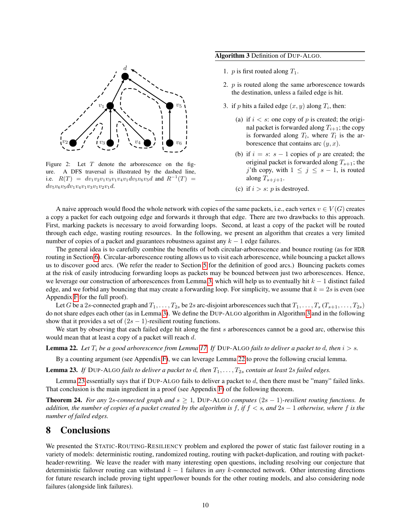<span id="page-9-1"></span>

Figure 2: Let  $T$  denote the arborescence on the figure. A DFS traversal is illustrated by the dashed line, i.e.  $R(T) = dv_1v_2v_1v_3v_1v_4v_1dv_5v_6v_5d$  and  $R^{-1}(T) =$  $dv_5v_6v_5dv_1v_4v_1v_3v_1v_2v_1d.$ 

#### Algorithm 3 Definition of DUP-ALGO.

- 1. *p* is first routed along  $T_1$ .
- 2.  $p$  is routed along the same arborescence towards the destination, unless a failed edge is hit.
- <span id="page-9-7"></span><span id="page-9-5"></span><span id="page-9-4"></span>3. if p hits a failed edge  $(x, y)$  along  $T_i$ , then:
	- (a) if  $i < s$ : one copy of p is created; the original packet is forwarded along  $T_{i+1}$ ; the copy is forwarded along  $T_l$ , where  $T_l$  is the arborescence that contains arc  $(y, x)$ .
	- (b) if  $i = s$ :  $s 1$  copies of p are created; the original packet is forwarded along  $T_{s+1}$ ; the j'th copy, with  $1 \leq j \leq s - 1$ , is routed along  $T_{s+j+1}$ .
	- (c) if  $i > s$ : *p* is destroyed.

A naive approach would flood the whole network with copies of the same packets, i.e., each vertex  $v \in V(G)$  creates a copy a packet for each outgoing edge and forwards it through that edge. There are two drawbacks to this approach. First, marking packets is necessary to avoid forwarding loops. Second, at least a copy of the packet will be routed through each edge, wasting routing resources. In the following, we present an algorithm that creates a very limited number of copies of a packet and guarantees robustness against any  $k - 1$  edge failures.

The general idea is to carefully combine the benefits of both circular-arborescence and bounce routing (as for HDR routing in Section [6\)](#page-8-0). Circular-arborescence routing allows us to visit each arborescence, while bouncing a packet allows us to discover good arcs. (We refer the reader to Section [5](#page-5-0) for the definition of good arcs.) Bouncing packets comes at the risk of easily introducing forwarding loops as packets may be bounced between just two arborescences. Hence, we leverage our construction of arborescences from Lemma [3,](#page-4-0) which will help us to eventually hit  $k - 1$  distinct failed edge, and we forbid any bouncing that may create a forwarding loop. For simplicity, we assume that  $k = 2s$  is even (see Appendix [F](#page-26-0) for the full proof).

Let G be a 2s-connected graph and  $T_1, \ldots, T_{2s}$  be 2s arc-disjoint arborescences such that  $T_1, \ldots, T_s$  ( $T_{s+1}, \ldots, T_{2s}$ ) do not share edges each other (as in Lemma [3\)](#page-4-0). We define the DUP-ALGO algorithm in Algorithm [3](#page-0-0) and in the following show that it provides a set of  $(2s - 1)$ -resilient routing functions.

We start by observing that each failed edge hit along the first s arborescences cannot be a good arc, otherwise this would mean that at least a copy of a packet will reach d.

<span id="page-9-2"></span>**Lemma 22.** Let  $T_i$  be a good arborescence from Lemma [17.](#page-6-3) If DUP-ALGO fails to deliver a packet to d, then  $i > s$ .

By a counting argument (see Appendix [F\)](#page-26-0), we can leverage Lemma [22](#page-9-2) to prove the following crucial lemma.

<span id="page-9-3"></span>**Lemma 23.** *If* DUP-ALGO *fails to deliver a packet to d, then*  $T_1, \ldots, T_{2s}$  *contain at least* 2s *failed edges.* 

Lemma [23](#page-9-3) essentially says that if DUP-ALGO fails to deliver a packet to d, then there must be "many" failed links. That conclusion is the main ingredient in a proof (see Appendix [F\)](#page-26-0) of the following theorem.

<span id="page-9-6"></span>**Theorem 24.** *For any* 2s-connected graph and  $s \geq 1$ , DUP-ALGO computes  $(2s - 1)$ -resilient routing functions. In *addition, the number of copies of a packet created by the algorithm is* f*, if* f < s*, and* 2s − 1 *otherwise, where* f *is the number of failed edges.*

## <span id="page-9-0"></span>8 Conclusions

We presented the STATIC-ROUTING-RESILIENCY problem and explored the power of static fast failover routing in a variety of models: deterministic routing, randomized routing, routing with packet-duplication, and routing with packetheader-rewriting. We leave the reader with many interesting open questions, including resolving our conjecture that deterministic failover routing can withstand k − 1 failures in *any* k-connected network. Other interesting directions for future research include proving tight upper/lower bounds for the other routing models, and also considering node failures (alongside link failures).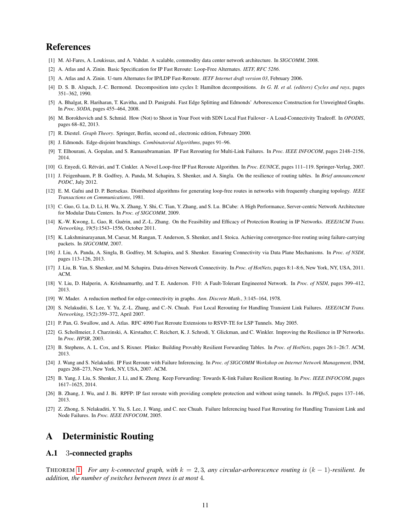## References

- <span id="page-10-23"></span>[1] M. Al-Fares, A. Loukissas, and A. Vahdat. A scalable, commodity data center network architecture. In *SIGCOMM*, 2008.
- <span id="page-10-7"></span>[2] A. Atlas and A. Zinin. Basic Specification for IP Fast Reroute: Loop-Free Alternates. *IETF, RFC 5286*.
- <span id="page-10-10"></span>[3] A. Atlas and A. Zinin. U-turn Alternates for IP/LDP Fast-Reroute. *IETF Internet draft version 03*, February 2006.
- <span id="page-10-27"></span>[4] D. S. B. Alspach, J.-C. Bermond. Decomposition into cycles I: Hamilton decompositions. *In G. H. et al. (editors) Cycles and rays*, pages 351–362, 1990.
- <span id="page-10-20"></span>[5] A. Bhalgat, R. Hariharan, T. Kavitha, and D. Panigrahi. Fast Edge Splitting and Edmonds' Arborescence Construction for Unweighted Graphs. In *Proc. SODA*, pages 455–464, 2008.
- <span id="page-10-8"></span>[6] M. Borokhovich and S. Schmid. How (Not) to Shoot in Your Foot with SDN Local Fast Failover - A Load-Connectivity Tradeoff. In *OPODIS*, pages 68–82, 2013.
- <span id="page-10-22"></span>[7] R. Diestel. *Graph Theory*. Springer, Berlin, second ed., electronic edition, February 2000.
- <span id="page-10-19"></span>[8] J. Edmonds. Edge-disjoint branchings. *Combinatorial Algorithms*, pages 91–96.
- <span id="page-10-18"></span>[9] T. Elhourani, A. Gopalan, and S. Ramasubramanian. IP Fast Rerouting for Multi-Link Failures. In *Proc. IEEE INFOCOM*, pages 2148–2156, 2014.
- <span id="page-10-12"></span>[10] G. Enyedi, G. Rétvári, and T. Cinkler. A Novel Loop-free IP Fast Reroute Algorithm. In Proc. EUNICE, pages 111-119. Springer-Verlag, 2007.
- <span id="page-10-13"></span>[11] J. Feigenbaum, P. B. Godfrey, A. Panda, M. Schapira, S. Shenker, and A. Singla. On the resilience of routing tables. In *Brief announcement PODC*, July 2012.
- <span id="page-10-3"></span>[12] E. M. Gafni and D. P. Bertsekas. Distributed algorithms for generating loop-free routes in networks with frequently changing topology. *IEEE Transactions on Communications*, 1981.
- <span id="page-10-24"></span>[13] C. Guo, G. Lu, D. Li, H. Wu, X. Zhang, Y. Shi, C. Tian, Y. Zhang, and S. Lu. BCube: A High Performance, Server-centric Network Architecture for Modular Data Centers. In *Proc. of SIGCOMM*, 2009.
- <span id="page-10-6"></span>[14] K.-W. Kwong, L. Gao, R. Guérin, and Z.-L. Zhang. On the Feasibility and Efficacy of Protection Routing in IP Networks. *IEEE/ACM Trans. Networking*, 19(5):1543–1556, October 2011.
- <span id="page-10-1"></span>[15] K. Lakshminarayanan, M. Caesar, M. Rangan, T. Anderson, S. Shenker, and I. Stoica. Achieving convergence-free routing using failure-carrying packets. In *SIGCOMM*, 2007.
- <span id="page-10-4"></span>[16] J. Liu, A. Panda, A. Singla, B. Godfrey, M. Schapira, and S. Shenker. Ensuring Connectivity via Data Plane Mechanisms. In *Proc. of NSDI*, pages 113–126, 2013.
- <span id="page-10-5"></span>[17] J. Liu, B. Yan, S. Shenker, and M. Schapira. Data-driven Network Connectivity. In *Proc. of HotNets*, pages 8:1–8:6, New York, NY, USA, 2011. ACM.
- <span id="page-10-26"></span>[18] V. Liu, D. Halperin, A. Krishnamurthy, and T. E. Anderson. F10: A Fault-Tolerant Engineered Network. In *Proc. of NSDI*, pages 399–412, 2013.
- <span id="page-10-25"></span>[19] W. Mader. A reduction method for edge-connectivity in graphs. *Ann. Discrete Math.*, 3:145–164, 1978.
- <span id="page-10-14"></span>[20] S. Nelakuditi, S. Lee, Y. Yu, Z.-L. Zhang, and C.-N. Chuah. Fast Local Rerouting for Handling Transient Link Failures. *IEEE/ACM Trans. Networking*, 15(2):359–372, April 2007.
- <span id="page-10-0"></span>[21] P. Pan, G. Swallow, and A. Atlas. RFC 4090 Fast Reroute Extensions to RSVP-TE for LSP Tunnels. May 2005.
- <span id="page-10-9"></span>[22] G. Schollmeier, J. Charzinski, A. Kirstadter, C. Reichert, K. J. Schrodi, Y. Glickman, and C. Winkler. Improving the Resilience in IP Networks. In *Proc. HPSR*, 2003.
- <span id="page-10-2"></span>[23] B. Stephens, A. L. Cox, and S. Rixner. Plinko: Building Provably Resilient Forwarding Tables. In *Proc. of HotNets*, pages 26:1–26:7. ACM, 2013.
- <span id="page-10-15"></span>[24] J. Wang and S. Nelakuditi. IP Fast Reroute with Failure Inferencing. In *Proc. of SIGCOMM Workshop on Internet Network Management*, INM, pages 268–273, New York, NY, USA, 2007. ACM.
- <span id="page-10-11"></span>[25] B. Yang, J. Liu, S. Shenker, J. Li, and K. Zheng. Keep Forwarding: Towards K-link Failure Resilient Routing. In *Proc. IEEE INFOCOM*, pages 1617–1625, 2014.
- <span id="page-10-16"></span>[26] B. Zhang, J. Wu, and J. Bi. RPFP: IP fast reroute with providing complete protection and without using tunnels. In *IWQoS*, pages 137–146, 2013.
- <span id="page-10-17"></span>[27] Z. Zhong, S. Nelakuditi, Y. Yu, S. Lee, J. Wang, and C. nee Chuah. Failure Inferencing based Fast Rerouting for Handling Transient Link and Node Failures. In *Proc. IEEE INFOCOM*, 2005.

## <span id="page-10-21"></span>A Deterministic Routing

#### A.1 3-connected graphs

THEOREM [1.](#page-3-4) *For any* k*-connected graph, with* k = 2, 3*, any circular-arborescence routing is* (k − 1)*-resilient. In addition, the number of switches between trees is at most* 4*.*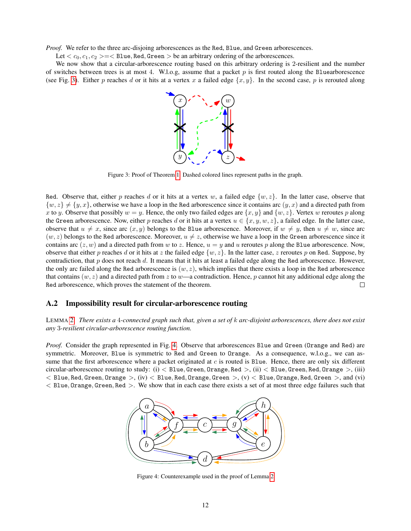*Proof.* We refer to the three arc-disjoing arborescences as the Red, Blue, and Green arborescences.

Let  $\langle c_0, c_1, c_2 \rangle = \langle B \text{line}, \text{Red}, \text{Green} \rangle$  be an arbitrary ordering of the arborescences.

<span id="page-11-0"></span>We now show that a circular-arborescence routing based on this arbitrary ordering is 2-resilient and the number of switches between trees is at most 4. W.l.o.g, assume that a packet  $p$  is first routed along the Bluearborescence (see Fig. [3\)](#page-11-0). Either p reaches d or it hits at a vertex x a failed edge  $\{x, y\}$ . In the second case, p is rerouted along



Figure 3: Proof of Theorem [1.](#page-3-4) Dashed colored lines represent paths in the graph.

Red. Observe that, either p reaches d or it hits at a vertex w, a failed edge  $\{w, z\}$ . In the latter case, observe that  $\{w, z\} \neq \{y, x\}$ , otherwise we have a loop in the Red arborescence since it contains arc  $(y, x)$  and a directed path from x to y. Observe that possibly  $w = y$ . Hence, the only two failed edges are  $\{x, y\}$  and  $\{w, z\}$ . Vertex w reroutes p along the Green arborescence. Now, either p reaches d or it hits at a vertex  $u \in \{x, y, w, z\}$ , a failed edge. In the latter case, observe that  $u \neq x$ , since arc  $(x, y)$  belongs to the Blue arborescence. Moreover, if  $w \neq y$ , then  $u \neq w$ , since arc  $(w, z)$  belongs to the Red arborescence. Moreover,  $u \neq z$ , otherwise we have a loop in the Green arborescence since it contains arc  $(z, w)$  and a directed path from w to z. Hence,  $u = y$  and u reroutes p along the Blue arborescence. Now, observe that either p reaches d or it hits at z the failed edge  $\{w, z\}$ . In the latter case, z reroutes p on Red. Suppose, by contradiction, that  $p$  does not reach  $d$ . It means that it hits at least a failed edge along the Red arborescence. However, the only arc failed along the Red arborescence is  $(w, z)$ , which implies that there exists a loop in the Red arborescence that contains  $(w, z)$  and a directed path from z to w—a contradiction. Hence, p cannot hit any additional edge along the Red arborescence, which proves the statement of the theorem.  $\Box$ 

#### A.2 Impossibility result for circular-arborescence routing

LEMMA [2.](#page-4-3) *There exists a* 4*-connected graph such that, given a set of* k *arc-disjoint arborescences, there does not exist any* 3*-resilient circular-arborescence routing function.*

<span id="page-11-1"></span>*Proof.* Consider the graph represented in Fig. [4.](#page-11-1) Observe that arborescences Blue and Green (Orange and Red) are symmetric. Moreover, Blue is symmetric to Red and Green to Orange. As a consequence, w.l.o.g., we can assume that the first arborescence where a packet originated at  $c$  is routed is Blue. Hence, there are only six different circular-arborescence routing to study: (i)  $\lt$  Blue, Green, Orange, Red  $>$ , (ii)  $\lt$  Blue, Green, Red, Orange  $>$ , (iii)  $<$  Blue, Red, Green, Orange  $>$ , (iv)  $<$  Blue, Red, Orange, Green  $>$ , (v)  $<$  Blue, Orange, Red, Green  $>$ , and (vi) < Blue, Orange, Green, Red >. We show that in each case there exists a set of at most three edge failures such that



Figure 4: Counterexample used in the proof of Lemma [2](#page-4-3)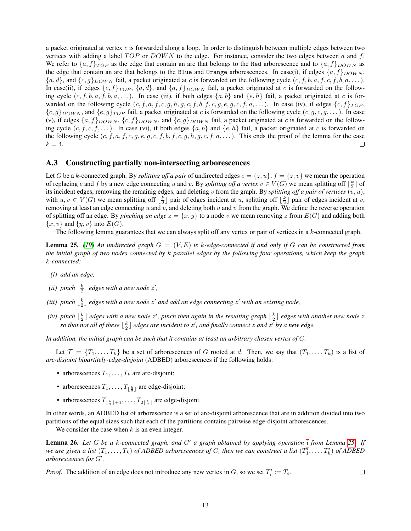a packet originated at vertex  $c$  is forwarded along a loop. In order to distinguish between multiple edges between two vertices with adding a label  $TOP$  or  $DOWN$  to the edge. For instance, consider the two edges between a and f. We refer to  $\{a, f\}_{TOP}$  as the edge that contain an arc that belongs to the Red arborescence and to  $\{a, f\}_{DOWN}$  as the edge that contain an arc that belongs to the Blue and Orange arborescences. In case(i), if edges  $\{a, f\}_{DOWN}$ ,  $\{a, d\}$ , and  $\{c, g\}_{DOWN}$  fail, a packet originated at c is forwarded on the following cycle  $(c, f, b, a, f, c, f, b, a, \ldots)$ . In case(ii), if edges  $\{c, f\}_{TOP}$ ,  $\{a, d\}$ , and  $\{a, f\}_{DOWN}$  fail, a packet originated at c is forwarded on the following cycle  $(c, f, b, a, f, b, a, \ldots)$ . In case (iii), if both edges  $\{a, b\}$  and  $\{e, h\}$  fail, a packet originated at c is forwarded on the following cycle  $(c, f, a, f, c, g, h, g, c, f, b, f, c, g, e, g, c, f, a, \ldots)$ . In case (iv), if edges  $\{c, f\}_{TOP}$ ,  ${c,g}_{DOWN}$ , and  ${e,g}_{TOP}$  fail, a packet originated at c is forwarded on the following cycle  $(c, g, c, g, \dots)$ . In case (v), if edges  $\{a, f\}_{DOWN}$ ,  $\{c, f\}_{DOWN}$ , and  $\{c, g\}_{DOWN}$  fail, a packet originated at c is forwarded on the following cycle  $(c, f, c, f, \dots)$ . In case (vi), if both edges  $\{a, b\}$  and  $\{e, h\}$  fail, a packet originated at c is forwarded on the following cycle  $(c, f, a, f, c, g, e, g, c, f, b, f, c, g, h, g, c, f, a, \ldots)$ . This ends the proof of the lemma for the case  $k=4$ . П

#### A.3 Constructing partially non-intersecting arborescences

Let G be a k-connected graph. By *splitting off a pair* of undirected edges  $e = \{z, u\}$ ,  $f = \{z, v\}$  we mean the operation of replacing e and f by a new edge connecting u and v. By *splitting off a vertex*  $v \in V(G)$  we mean splitting off  $\lceil \frac{k}{2} \rceil$  of its incident edges, removing the remainig edges, and deleting  $v$  from the graph. By *splitting off a pair of vertices*  $(v, u)$ , with  $u, v \in V(G)$  we mean splitting off  $\lfloor \frac{k}{2} \rfloor$  pair of edges incident at u, splitting off  $\lfloor \frac{k}{2} \rfloor$  pair of edges incident at v, removing at least an edge connecting u and v, and deleting both u and v from the graph. We define the reverse operation of splitting off an edge. By *pinching an edge*  $z = \{x, y\}$  to a node v we mean removing z from  $E(G)$  and adding both  $\{x, v\}$  and  $\{y, v\}$  into  $E(G)$ .

The following lemma guarantees that we can always split off any vertex or pair of vertices in a  $k$ -connected graph.

<span id="page-12-1"></span>Lemma 25. *[\[19\]](#page-10-25) An undirected graph* G = (V, E) *is* k*-edge-connected if and only if* G *can be constructed from the initial graph of two nodes connected by* k *parallel edges by the following four operations, which keep the graph* k*-connected:*

- <span id="page-12-0"></span>*(i) add an edge,*
- <span id="page-12-2"></span>(*ii*) pinch  $\lceil \frac{k}{2} \rceil$  edges with a new node  $z'$ ,
- <span id="page-12-3"></span>(*iii*) pinch  $\lfloor \frac{k}{2} \rfloor$  edges with a new node  $z'$  and add an edge connecting  $z'$  with an existing node,
- <span id="page-12-4"></span>*(iv)* pinch  $\lfloor \frac{k}{2} \rfloor$  edges with a new node  $z'$ , pinch then again in the resulting graph  $\lfloor \frac{k}{2} \rfloor$  edges with another new node  $z$ so that not all of these  $\lfloor \frac{k}{2} \rfloor$  edges are incident to  $z'$ , and finally connect  $z$  and  $z'$  by a new edge.

*In addition, the initial graph can be such that it contains at least an arbitrary chosen vertex of* G*.*

Let  $\mathcal{T} = \{T_1, \ldots, T_k\}$  be a set of arborescences of G rooted at d. Then, we say that  $(T_1, \ldots, T_k)$  is a list of *arc-disjoint bipartitely-edge-disjoint* (ADBED) arborescences if the following holds:

- arborescences  $T_1, \ldots, T_k$  are arc-disjoint;
- arborescences  $T_1, \ldots, T_{\lfloor \frac{k}{2} \rfloor}$  are edge-disjoint;
- arborescences  $T_{\lfloor \frac{k}{2} \rfloor + 1}, \ldots, T_{2\lfloor \frac{k}{2} \rfloor}$  are edge-disjoint.

In other words, an ADBED list of arborescence is a set of arc-disjoint arborescence that are in addition divided into two partitions of the equal sizes such that each of the partitions contains pairwise edge-disjoint arborescences.

We consider the case when  $k$  is an even integer.

<span id="page-12-5"></span>Lemma 26. Let G be a k-connected graph, and G' a graph obtained by applying operation *i* from Lemma [25.](#page-12-1) If we are given a list  $(T_1, \ldots, T_k)$  of ADBED arborescences of G, then we can construct a list  $(T'_1, \ldots, T'_k)$  of ADBED arborescences for G'.

<span id="page-12-6"></span>*Proof.* The addition of an edge does not introduce any new vertex in G, so we set  $T_i' := T_i$ .  $\Box$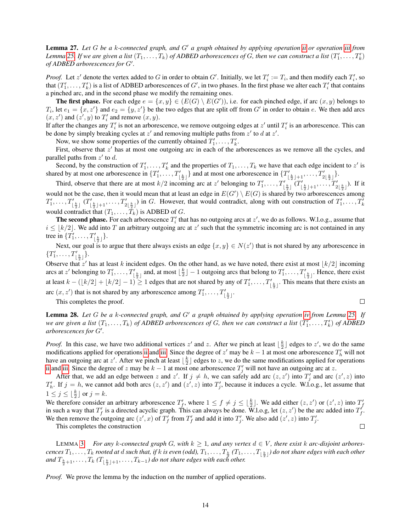Lemma 27. Let G be a k-connected graph, and G' a graph obtained by applying operation [ii](#page-12-2) or operation [iii](#page-12-3) from Lemma [25.](#page-12-1) If we are given a list  $(T_1,\ldots,T_k)$  of ADBED arborescences of G, then we can construct a list  $(T'_1,\ldots,T'_k)$ *of ADBED arborescences for G'.* 

*Proof.* Let z' denote the vertex added to G in order to obtain G'. Initially, we let  $T_i' := T_i$ , and then modify each  $T_i'$ , so that  $(T_1', \ldots, T_k')$  is a list of ADBED arborescences of  $G'$ , in two phases. In the first phase we alter each  $T_i'$  that contains a pinched arc, and in the second phase we modify the remaining ones.

**The first phase.** For each edge  $e = \{x, y\} \in (E(G) \setminus E(G'))$ , i.e. for each pinched edge, if arc  $(x, y)$  belongs to  $T_i$ , let  $e_1 = \{x, z'\}$  and  $e_2 = \{y, z'\}$  be the two edges that are split off from  $G'$  in order to obtain  $e$ . We then add arcs  $(x, z')$  and  $(z', y)$  to  $T'_i$  and remove  $(x, y)$ .

If after the changes any  $T_i'$  is not an arborescence, we remove outgoing edges at  $z'$  until  $T_i'$  is an arborescence. This can be done by simply breaking cycles at  $z'$  and removing multiple paths from  $z'$  to  $d$  at  $z'$ .

Now, we show some properties of the currently obtained  $T'_1, \ldots, T'_k$ .

First, observe that  $z'$  has at most one outgoing arc in each of the arborescences as we remove all the cycles, and parallel paths from  $z'$  to d.

Second, by the construction of  $T'_1, \ldots, T'_k$  and the properties of  $T_1, \ldots, T_k$  we have that each edge incident to  $z'$  is shared by at most one arborescence in  $\{T'_1, \ldots, T'_{\lfloor \frac{k}{2} \rfloor}\}\$  and at most one arborescence in  $\{T'_{\lfloor \frac{k}{2} \rfloor+1}, \ldots, T'_{2\lfloor \frac{k}{2} \rfloor}\}$ .

Third, observe that there are at most  $k/2$  incoming arc at z' belonging to  $T'_1, \ldots, T'_{\lfloor \frac{k}{2} \rfloor}$   $(T'_{\lfloor \frac{k}{2} \rfloor+1}, \ldots, T'_{2\lfloor \frac{k}{2} \rfloor})$ . If it would not be the case, then it would mean that at least an edge in  $E(G') \setminus E(G)$  is shared by two arborescences among  $T'_1, \ldots, T'_{\lfloor \frac{k}{2} \rfloor}$   $(T'_{\lfloor \frac{k}{2} \rfloor+1}, \ldots, T'_{2\lfloor \frac{k}{2} \rfloor})$  in G. However, that would contradict, along with out construction of  $T'_1, \ldots, T'_k$ would contradict that  $(T_1, \ldots, T_k)$  is ADBED of G.

**The second phase.** For each arborescence  $T'_i$  that has no outgoing arcs at  $z'$ , we do as follows. W.l.o.g., assume that  $i \leq \lfloor k/2 \rfloor$ . We add into T an arbitrary outgoing arc at z' such that the symmetric incoming arc is not contained in any tree in  $\{T'_1, \ldots, T'_{\lfloor \frac{k}{2} \rfloor}\}.$ 

Next, our goal is to argue that there always exists an edge  $\{x, y\} \in N(z')$  that is not shared by any arborescence in  ${T'_1, \ldots, T'_{\lfloor \frac{k}{2} \rfloor}}.$ 

Observe that z' has at least k incident edges. On the other hand, as we have noted, there exist at most  $\lfloor k/2 \rfloor$  incoming arcs at z' belonging to  $T_1', \ldots, T_{\lfloor \frac{k}{2} \rfloor}'$  and, at most  $\lfloor \frac{k}{2} \rfloor - 1$  outgoing arcs that belong to  $T_1', \ldots, T_{\lfloor \frac{k}{2} \rfloor}'$ . Hence, there exist at least  $k - (\lfloor k/2 \rfloor + \lfloor k/2 \rfloor - 1) \ge 1$  edges that are not shared by any of  $T'_1, \ldots, T'_{\lfloor \frac{k}{2} \rfloor}$ . This means that there exists an arc  $(x, z')$  that is not shared by any arborescence among  $T'_1, \ldots, T'_{\lfloor \frac{k}{2} \rfloor}$ .

This completes the proof.

<span id="page-13-0"></span>**Lemma 28.** Let G be a k-connected graph, and G' a graph obtained by applying operation [iv](#page-12-4) from Lemma [25.](#page-12-1) If we are given a list  $(T_1, \ldots, T_k)$  of ADBED arborescences of G, then we can construct a list  $(T'_1, \ldots, T'_k)$  of ADBED arborescences for G'.

 $\Box$ 

 $\Box$ 

*Proof.* In this case, we have two additional vertices  $z'$  and z. After we pinch at least  $\lfloor \frac{k}{2} \rfloor$  edges to  $z'$ , we do the same modifications applied for operations [ii](#page-12-2) and [iii.](#page-12-3) Since the degree of z' may be  $k - 1$  at most one arborescence  $T'_{h}$  will not have an outgoing arc at z'. After we pinch at least  $\lfloor \frac{k}{2} \rfloor$  edges to z, we do the same modifications applied for operations [ii](#page-12-2) and [iii.](#page-12-3) Since the degree of z may be  $k - 1$  at most one arborescence  $T'_j$  will not have an outgoing arc at z.

After that, we add an edge between z and z'. If  $j \neq h$ , we can safely add arc  $(z, z')$  into  $T'_j$  and arc  $(z', z)$  into  $T'_{h}$ . If  $j = h$ , we cannot add both arcs  $(z, z')$  and  $(z', z)$  into  $T'_{j}$ , because it induces a cycle. W.l.o.g., let assume that  $1 \leq j \leq \lfloor \frac{k}{2} \rfloor$  or  $j = k$ .

We therefore consider an arbitrary arborescence  $T'_f$ , where  $1 \le f \ne j \le \lfloor \frac{k}{2} \rfloor$ . We add either  $(z, z')$  or  $(z', z)$  into  $T'_f$ in such a way that  $T'_f$  is a directed acyclic graph. This can always be done. W.l.o.g, let  $(z, z')$  be the arc added into  $T'_f$ . We then remove the outgoing arc  $(z', x)$  of  $T'_f$  from  $T'_f$  and add it into  $T'_j$ . We also add  $(z', z)$  into  $T'_j$ .

This completes the construction

LEMMA [3.](#page-4-0) *For any k-connected graph G, with*  $k \geq 1$ *, and any vertex*  $d \in V$ *, there exist k arc-disjoint arbores* $cences$   $T_1, \ldots, T_k$  rooted at  $d$  such that, if  $k$  is even (odd),  $T_1, \ldots, T_{\frac{k}{2}}$   $(T_1, \ldots, T_{\lfloor \frac{k}{2} \rfloor})$  do not share edges with each other and  $T_{\frac{k}{2}+1}, \ldots, T_k$  ( $T_{\lfloor \frac{k}{2} \rfloor+1}, \ldots, T_{k-1}$ ) do not share edges with each other.

*Proof.* We prove the lemma by the induction on the number of applied operations.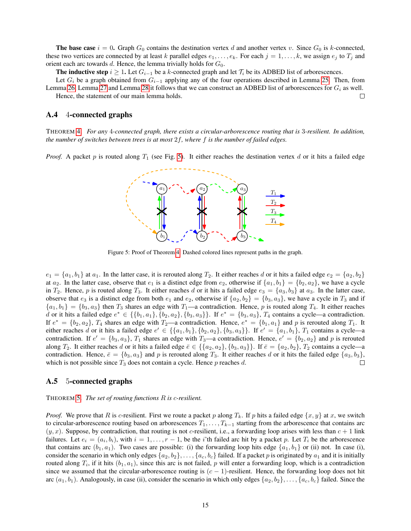**The base case**  $i = 0$ . Graph  $G_0$  contains the destination vertex d and another vertex v. Since  $G_0$  is k-connected, these two vertices are connected by at least k parallel edges  $e_1, \ldots, e_k$ . For each  $j = 1, \ldots, k$ , we assign  $e_j$  to  $T_j$  and orient each arc towards d. Hence, the lemma trivially holds for  $G_0$ .

The inductive step  $i \geq 1$ . Let  $G_{i-1}$  be a k-connected graph and let  $\mathcal{T}_i$  be its ADBED list of arborescences.

Let  $G_i$  be a graph obtained from  $G_{i-1}$  applying any of the four operations described in Lemma [25.](#page-12-1) Then, from Lemma [26,](#page-12-5) Lemma [27](#page-12-6) and Lemma [28](#page-13-0) it follows that we can construct an ADBED list of arborescences for  $G_i$  as well. Hence, the statement of our main lemma holds.  $\Box$ 

#### A.4 4-connected graphs

THEOREM [4.](#page-4-2) *For any* 4*-connected graph, there exists a circular-arborescence routing that is* 3*-resilient. In addition, the number of switches between trees is at most* 2f*, where* f *is the number of failed edges.*

<span id="page-14-0"></span>*Proof.* A packet p is routed along  $T_1$  (see Fig. [5\)](#page-14-0). It either reaches the destination vertex d or it hits a failed edge



Figure 5: Proof of Theorem [4.](#page-4-2) Dashed colored lines represent paths in the graph.

 $e_1 = \{a_1, b_1\}$  at  $a_1$ . In the latter case, it is rerouted along  $T_2$ . It either reaches d or it hits a failed edge  $e_2 = \{a_2, b_2\}$ at  $a_2$ . In the latter case, observe that  $e_1$  is a distinct edge from  $e_2$ , otherwise if  $\{a_1, b_1\} = \{b_2, a_2\}$ , we have a cycle in  $T_2$ . Hence, p is routed along  $T_3$ . It either reaches d or it hits a failed edge  $e_3 = \{a_3, b_3\}$  at  $a_3$ . In the latter case, observe that  $e_3$  is a distinct edge from both  $e_1$  and  $e_2$ , otherwise if  $\{a_2, b_2\} = \{b_3, a_3\}$ , we have a cycle in  $T_3$  and if  ${a_1, b_1} = {b_3, a_3}$  then  $T_3$  shares an edge with  $T_1$ —a contradiction. Hence, p is routed along  $T_4$ . It either reaches d or it hits a failed edge  $e^* \in \{\{b_1, a_1\}, \{b_2, a_2\}, \{b_3, a_3\}\}\.$  If  $e^* = \{b_3, a_3\}, T_4$  contains a cycle—a contradiction. If  $e^* = \{b_2, a_2\}$ ,  $T_4$  shares an edge with  $T_2$ —a contradiction. Hence,  $e^* = \{b_1, a_1\}$  and p is rerouted along  $T_1$ . It either reaches d or it hits a failed edge  $e' \in \{\{a_1, b_1\}, \{b_2, a_2\}, \{b_3, a_3\}\}\$ . If  $e' = \{a_1, b_1\}$ ,  $T_1$  contains a cycle—a contradiction. If  $e' = \{b_3, a_3\}$ ,  $T_1$  shares an edge with  $T_3$ —a contradiction. Hence,  $e' = \{b_2, a_2\}$  and p is rerouted along  $T_2$ . It either reaches d or it hits a failed edge  $\bar{e} \in \{\{a_2, a_2\}, \{b_3, a_3\}\}\.$  If  $\bar{e} = \{a_2, b_2\}, T_2$  contains a cycle—a contradiction. Hence,  $\bar{e} = \{b_3, a_3\}$  and p is rerouted along  $T_3$ . It either reaches d or it hits the failed edge  $\{a_3, b_3\}$ , which is not possible since  $T_3$  does not contain a cycle. Hence p reaches d. П

#### A.5 5-connected graphs

THEOREM [5.](#page-4-1) *The set of routing functions* R *is* c*-resilient.*

*Proof.* We prove that R is c-resilient. First we route a packet p along  $T_k$ . If p hits a failed edge  $\{x, y\}$  at x, we switch to circular-arborescence routing based on arborescences  $T_1, \ldots, T_{k-1}$  starting from the arborescence that contains arc  $(y, x)$ . Suppose, by contradiction, that routing is not c-resilient, i.e., a forwarding loop arises with less than  $c + 1$  link failures. Let  $e_i = (a_i, b_i)$ , with  $i = 1, \ldots, r - 1$ , be the *i*'th failed arc hit by a packet p. Let  $T_i$  be the arborescence that contains arc  $(b_1, a_1)$ . Two cases are possible: (i) the forwarding loop hits edge  $\{a_1, b_1\}$  or (ii) not. In case (i), consider the scenario in which only edges  $\{a_2, b_2\}, \ldots, \{a_c, b_c\}$  failed. If a packet p is originated by  $a_1$  and it is initially routed along  $T_i$ , if it hits  $(b_1, a_1)$ , since this arc is not failed, p will enter a forwarding loop, which is a contradiction since we assumed that the circular-arborescence routing is  $(c - 1)$ -resilient. Hence, the forwarding loop does not hit arc  $(a_1, b_1)$ . Analogously, in case (ii), consider the scenario in which only edges  $\{a_2, b_2\}, \ldots, \{a_c, b_c\}$  failed. Since the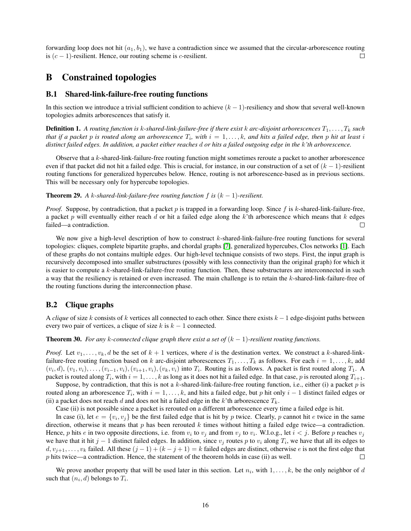forwarding loop does not hit  $(a_1, b_1)$ , we have a contradiction since we assumed that the circular-arborescence routing is  $(c - 1)$ -resilient. Hence, our routing scheme is c-resilient. П

## <span id="page-15-0"></span>B Constrained topologies

#### B.1 Shared-link-failure-free routing functions

In this section we introduce a trivial sufficient condition to achieve  $(k - 1)$ -resiliency and show that several well-known topologies admits arborescences that satisfy it.

**Definition 1.** A routing function is k-shared-link-failure-free if there exist k arc-disjoint arborescences  $T_1, \ldots, T_k$  such that if a packet  $p$  is routed along an arborescence  $T_i$ , with  $i = 1, \ldots, k$ , and hits a failed edge, then  $p$  hit at least  $i$ *distinct failed edges. In addition, a packet either reaches* d *or hits a failed outgoing edge in the* k*'th arborescence.*

Observe that a k-shared-link-failure-free routing function might sometimes reroute a packet to another arborescence even if that packet did not hit a failed edge. This is crucial, for instance, in our construction of a set of  $(k - 1)$ -resilient routing functions for generalized hypercubes below. Hence, routing is not arborescence-based as in previous sections. This will be necessary only for hypercube topologies.

**Theorem 29.** *A k*-shared-link-failure-free routing function f is  $(k - 1)$ -resilient.

*Proof.* Suppose, by contradiction, that a packet  $p$  is trapped in a forwarding loop. Since  $f$  is  $k$ -shared-link-failure-free, a packet p will eventually either reach d or hit a failed edge along the  $k$ 'th arborescence which means that  $k$  edges failed—a contradiction.  $\Box$ 

We now give a high-level description of how to construct k-shared-link-failure-free routing functions for several topologies: cliques, complete bipartite graphs, and chordal graphs [\[7\]](#page-10-22), generalized hypercubes, Clos networks [\[1\]](#page-10-23). Each of these graphs do not contains multiple edges. Our high-level technique consists of two steps. First, the input graph is recursively decomposed into smaller substructures (possibly with less connectivity than the original graph) for which it is easier to compute a k-shared-link-failure-free routing function. Then, these substructures are interconnected in such a way that the resiliency is retained or even increased. The main challenge is to retain the k-shared-link-failure-free of the routing functions during the interconnection phase.

### B.2 Clique graphs

A *clique* of size k consists of k vertices all connected to each other. Since there exists  $k - 1$  edge-disjoint paths between every two pair of vertices, a clique of size  $k$  is  $k - 1$  connected.

<span id="page-15-1"></span>**Theorem 30.** *For any k-connected clique graph there exist a set of*  $(k - 1)$ *-resilient routing functions.* 

*Proof.* Let  $v_1, \ldots, v_k, d$  be the set of  $k + 1$  vertices, where d is the destination vertex. We construct a k-shared-linkfailure-free routing function based on k arc-disjoint arborescences  $T_1, \ldots, T_k$  as follows. For each  $i = 1, \ldots, k$ , add  $(v_i, d), (v_1, v_i), \ldots, (v_{i-1}, v_i), (v_{i+1}, v_i), (v_k, v_i)$  into  $T_i$ . Routing is as follows. A packet is first routed along  $T_1$ . A packet is routed along  $T_i$ , with  $i=1,\ldots,k$  as long as it does not hit a failed edge. In that case,  $p$  is rerouted along  $T_{i+1}.$ 

Suppose, by contradiction, that this is not a k-shared-link-failure-free routing function, i.e., either (i) a packet  $p$  is routed along an arborescence  $T_i$ , with  $i = 1, ..., k$ , and hits a failed edge, but p hit only  $i - 1$  distinct failed edges or (ii) a packet does not reach d and does not hit a failed edge in the k'th arborescence  $T_k$ .

Case (ii) is not possible since a packet is rerouted on a different arborescence every time a failed edge is hit.

In case (i), let  $e = \{v_i, v_j\}$  be the first failed edge that is hit by p twice. Clearly, p cannot hit e twice in the same direction, otherwise it means that p has been rerouted k times without hitting a failed edge twice—a contradiction. Hence, p hits e in two opposite directions, i.e. from  $v_i$  to  $v_j$  and from  $v_j$  to  $v_i$ . W.l.o.g., let  $i < j$ . Before p reaches  $v_j$ we have that it hit  $j-1$  distinct failed edges. In addition, since  $v_j$  routes p to  $v_i$  along  $T_i$ , we have that all its edges to  $d, v_{j+1}, \ldots, v_k$  failed. All these  $(j-1) + (k - j + 1) = k$  failed edges are distinct, otherwise e is not the first edge that  $p$  hits twice—a contradiction. Hence, the statement of the theorem holds in case (ii) as well.  $\Box$ 

<span id="page-15-2"></span>We prove another property that will be used later in this section. Let  $n_i$ , with  $1, \ldots, k$ , be the only neighbor of d such that  $(n_i, d)$  belongs to  $T_i$ .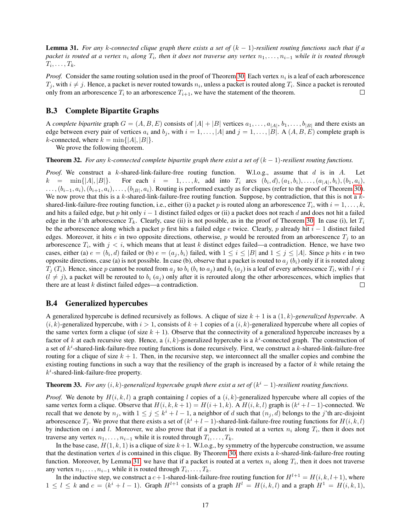Lemma 31. *For any* k*-connected clique graph there exists a set of* (k − 1)*-resilient routing functions such that if a*  $packet$  is routed at a vertex  $n_i$  along  $T_i$ , then it does not traverse any vertex  $n_1, \ldots, n_{i-1}$  while it is routed through  $T_i, \ldots, T_k$ .

*Proof.* Consider the same routing solution used in the proof of Theorem [30.](#page-15-1) Each vertex  $n_i$  is a leaf of each arborescence  $T_j$ , with  $i \neq j$ . Hence, a packet is never routed towards  $n_i$ , unless a packet is routed along  $T_i$ . Since a packet is rerouted only from an arborescence  $T_i$  to an arborescence  $T_{i+1}$ , we have the statement of the theorem. П

#### B.3 Complete Bipartite Graphs

A *complete bipartite* graph  $G = (A, B, E)$  consists of  $|A| + |B|$  vertices  $a_1, \ldots, a_{|A|}, b_1, \ldots, b_{|B|}$  and there exists an edge between every pair of vertices  $a_i$  and  $b_j$ , with  $i = 1, \ldots, |A|$  and  $j = 1, \ldots, |B|$ . A  $(A, B, E)$  complete graph is k-connected, where  $k = \min\{|A|, |B|\}.$ 

We prove the following theorem.

<span id="page-16-0"></span>**Theorem 32.** *For any k-connected complete bipartite graph there exist a set of*  $(k-1)$ *-resilient routing functions.* 

*Proof.* We construct a k-shared-link-failure-free routing function. W.l.o.g., assume that d is in A. Let  $k = \min\{|A|, |B|\}$ . For each  $i = 1, ..., k$ , add into  $T_i$  arcs  $(b_i, d), (a_1, b_i), ..., (a_{|A|}, b_i), (b_1, a_i)$ ,  $\dots, (b_{i-1}, a_i), (b_{i+1}, a_i), \dots, (b_{|B|}, a_i)$ . Routing is performed exactly as for cliques (refer to the proof of Theorem [30\)](#page-15-1). We now prove that this is a  $k$ -shared-link-failure-free routing function. Suppose, by contradiction, that this is not a  $k$ shared-link-failure-free routing function, i.e., either (i) a packet p is routed along an arborescence  $T_i$ , with  $i = 1, \ldots, k$ , and hits a failed edge, but p hit only  $i - 1$  distinct failed edges or (ii) a packet does not reach d and does not hit a failed edge in the k'th arborescence  $T_k$ . Clearly, case (ii) is not possible, as in the proof of Theorem [30.](#page-15-1) In case (i), let  $T_i$ be the arborescence along which a packet p first hits a failed edge e twice. Clearly, p already hit  $i - 1$  distinct failed edges. Moreover, it hits e in two opposite directions, otherwise, p would be rerouted from an arborescence  $T_i$  to an arborescence  $T_i$ , with  $j < i$ , which means that at least k distinct edges failed—a contradiction. Hence, we have two cases, either (a)  $e = (b_i, d)$  failed or (b)  $e = (a_j, b_i)$  failed, with  $1 \le i \le |B|$  and  $1 \le j \le |A|$ . Since p hits e in two opposite directions, case (a) is not possible. In case (b), observe that a packet is routed to  $a_j$  ( $b_i$ ) only if it is routed along  $T_j(T_i)$ . Hence, since p cannot be routed from  $a_j$  to  $b_i$  ( $b_i$  to  $a_j$ ) and  $b_i(a_j)$  is a leaf of every arborescence  $T_l$ , with  $l \neq i$  $(l \neq j)$ , a packet will be rerouted to  $b_i$   $(a_j)$  only after it is rerouted along the other arborescences, which implies that there are at least k distinct failed edges—a contradiction. П

#### B.4 Generalized hypercubes

A generalized hypercube is defined recursively as follows. A clique of size  $k + 1$  is a  $(1, k)$ -generalized hypercube. A  $(i, k)$ -generalized hypercube, with  $i > 1$ , consists of  $k + 1$  copies of a  $(i, k)$ -generalized hypercube where all copies of the same vertex form a clique (of size  $k + 1$ ). Observe that the connectivity of a generalized hypercube increases by a factor of k at each recursive step. Hence, a  $(i, k)$ -generalized hypercube is a  $k^i$ -connected graph. The construction of a set of  $k^i$ -shared-link-failure-free routing functions is done recursively. First, we construct a k-shared-link-failure-free routing for a clique of size  $k + 1$ . Then, in the recursive step, we interconnect all the smaller copies and combine the existing routing functions in such a way that the resiliency of the graph is increased by a factor of  $k$  while retaing the  $k^i$ -shared-link-failure-free property.

#### **Theorem 33.** For any  $(i, k)$ -generalized hypercube graph there exist a set of  $(k<sup>i</sup> - 1)$ -resilient routing functions.

*Proof.* We denote by  $H(i, k, l)$  a graph containing l copies of a  $(i, k)$ -generalized hypercube where all copies of the same vertex form a clique. Observe that  $H(i, k, k + 1) = H(i + 1, k)$ . A  $H(i, k, l)$  graph is  $(k<sup>i</sup> + l - 1)$ -connected. We recall that we denote by  $n_j$ , with  $1 \le j \le k^i + l - 1$ , a neighbor of d such that  $(n_j, d)$  belongs to the j'th arc-disjoint arborescence  $T_j$ . We prove that there exists a set of  $(k^i + l - 1)$ -shared-link-failure-free routing functions for  $H(i, k, l)$ by induction on i and l. Moreover, we also prove that if a packet is routed at a vertex  $n_i$  along  $T_i$ , then it does not traverse any vertex  $n_1, \ldots, n_{i-1}$  while it is routed through  $T_i, \ldots, T_k$ .

In the base case,  $H(1, k, 1)$  is a clique of size  $k+1$ . W.l.o.g., by symmetry of the hypercube construction, we assume that the destination vertex  $d$  is contained in this clique. By Theorem [30,](#page-15-1) there exists a  $k$ -shared-link-failure-free routing function. Moreover, by Lemma [31,](#page-15-2) we have that if a packet is routed at a vertex  $n_i$  along  $T_i$ , then it does not traverse any vertex  $n_1, \ldots, n_{i-1}$  while it is routed through  $T_i, \ldots, T_k$ .

In the inductive step, we construct a  $c+1$ -shared-link-failure-free routing function for  $H^{l+1} = H(i, k, l+1)$ , where  $1 \leq l \leq k$  and  $c = (k^{i} + l - 1)$ . Graph  $H^{l+1}$  consists of a graph  $H^{l} = H(i, k, l)$  and a graph  $H^{1} = H(i, k, 1)$ ,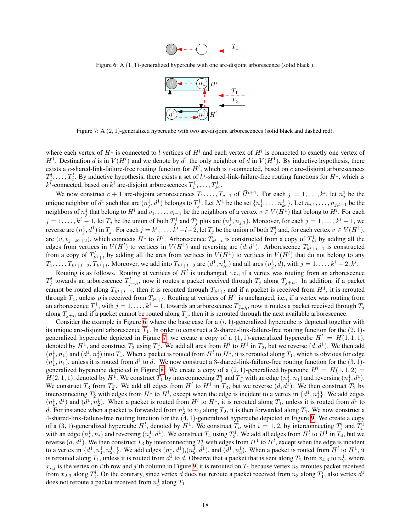

<span id="page-17-1"></span><span id="page-17-0"></span>Figure 6: A  $(1, 1)$ -generalized hypercube with one arc-disjoint arborescence (solid black).



Figure 7: A (2, 1)-generalized hypercube with two arc-disjoint arborescences (solid black and dashed red).

where each vertex of  $H^1$  is connected to l vertices of  $H^l$  and each vertex of  $H^l$  is connected to exactly one vertex of  $H^1$ . Destination d is in  $V(H^l)$  and we denote by  $d^1$  the only neighbor of d in  $V(H^1)$ . By inductive hypothesis, there exists a c-shared-link-failure-free routing function for  $H^l$ , which is c-connected, based on c arc-disjoint arborescences  $T_1^l, \ldots, T_c^l$ . By inductive hypothesis, there exists a set of  $k^i$ -shared-link-failure-free routing functions for  $H^1$ , which is  $k^i$ -connected, based on  $k^i$  arc-disjoint arborescences  $T_1^1, \ldots, T_{k^i}^1$ .

We now construct  $c+1$  arc-disjoint arborescences  $T_1, \ldots, T_{c+1}$  of  $\vec{H}^{l+1}$ . For each  $j = 1, \ldots, k^i$ , let  $n_j^1$  be the unique neighbor of  $d^1$  such that arc  $(n_j^1, d^1)$  belongs to  $T_j^1$ . Let  $N^1$  be the set  $\{n_1^1, \ldots, n_{k_i}^1\}$ . Let  $n_{j,1}, \ldots, n_{j,l-1}$  be the neighbors of  $n_j^1$  that belong to  $H^l$  and  $v_1,\ldots,v_{l-1}$  be the neighbors of a vertex  $v\in V(H^1)$  that belong to  $H^l.$  For each  $j = 1, \ldots, k^i - 1$ , let  $T_j$  be the union of both  $T_j^1$  and  $T_j^l$  plus arc  $(n_j^1, n_{j,1})$ . Moreover, for each  $j = 1, \ldots, k^i - 1$ , we reverse arc  $(n_j^1, d^1)$  in  $T_j$ . For each  $j = k^i, \ldots, k^i + l - 2$ , let  $T_j$  be the union of both  $T_j^l$  and, for each vertex  $v \in V(H^1)$ , arc  $(v, v_{j-k^i+2})$ , which connects  $H^1$  to  $H^l$ . Arborescence  $T_{k^i+l}$  is constructed from a copy of  $T^1_{k^i}$  by adding all the edges from vertices in  $V(H^1)$  to vertices in  $V(H^1)$  and reversing arc  $(d, d^1)$ . Arborescence  $T_{k^i+l-1}$  is constructed from a copy of  $T_{k^i+l}^l$  by adding all the arcs from vertices in  $V(H^1)$  to vertices in  $V(H^l)$  that do not belong to any  $T_1, \ldots, T_{k^i+l-2}, T_{k^i+l}$ . Moreover, we add into  $T_{k^i+l-2}$  arc  $(d^1, n^1_{k^i})$  and all arcs  $(n^1_j, d)$ , with  $j = 1, \ldots, k^i-2, k^i$ .

Routing is as follows. Routing at vertices of  $H^l$  is unchanged, i.e., if a vertex was routing from an arborescence  $T_j^l$  towards an arborescence  $T_{j+h}^l$ , now it routes a packet received through  $T_j$  along  $T_{j+h}$ . In addition, if a packet cannot be routed along  $T_{k^i+l-1}$ , then it is rerouted through  $T_{k^i+l}$  and if a packet is received from  $H^1$ , it is rerouted through  $T_1$ , unless p is received from  $T_{k^i+l}$ . Routing at vertices of  $H^1$  is unchanged, i.e., if a vertex was routing from an arborescence  $T_j^1$ , with  $j = 1, ..., k^i - 1$ , towards an arborescence  $T_{j+h}^1$ , now it routes a packet received through  $T_j$ along  $T_{i+h}$  and if a packet cannot be routed along  $T_i$ , then it is rerouted through the next available arborescence.

Consider the example in Figure [6,](#page-17-0) where the base case for a  $(i, 1)$ -generalized hypercube is depicted together with its unique arc-disjoint arborescence  $T_1$ . In order to construct a 2-shared-link-failure-free routing function for the  $(2, 1)$ -generalized hypercube depicted in Figure [7,](#page-17-1) we create a copy of a  $(1, 1)$ -generalized hypercube  $H^l = H(1, 1, 1)$ , denoted by  $H^1$ , and construct  $T_2$  using  $T_1^1$ . We add all arcs from  $H^l$  to  $H^1$  in  $T_2$ , but we reverse  $(d, d^1)$ . We then add  $(n_1^1, n_1)$  and  $(d^1, n_1^1)$  into  $T_1$ . When a packet is routed from  $H^l$  to  $H^1$ , it is rerouted along  $T_1$ , which is obvious for edge  $(n_1^1, n_1)$ , unless it is routed from  $d^1$  to d. We now construct a 3-shared-link-failure-free routing function for the  $(3, 1)$ -generalized hypercube depicted in Figure [8.](#page-18-0) We create a copy of a  $(2, 1)$ -generalized hypercube  $H<sup>l</sup> = H(1, 1, 2)$  =  $H(2,1,1)$ , denoted by  $H^1$ . We construct  $T_1$  by interconnecting  $T_1^l$  and  $T_1^1$  with an edge  $(n_1^1, n_1)$  and reversing  $(n_1^1, d^1)$ .  $H(z, 1, 1)$ , denoted by  $H$ . We construct  $T_1$  by interconnecting  $T_1$  and  $T_1$  with an edge  $(n_1, n_1)$  and reversing  $(n_1, a)$ .<br>We construct  $T_3$  from  $T_2^1$ . We add all edges from  $H^1$  to  $H^1$  in  $T_3$ , but we rev interconnecting  $T_2^l$  with edges from  $H^1$  to  $H^l$ , except when the edge is incident to a vertex in  $\{d^1, n_1^1\}$ . We add edges  $(n_1^1, d^1)$  and  $(d^1, n_2^1)$ . When a packet is routed from  $H^l$  to  $H^1$ , it is rerouted along  $T_1$ , unless it is routed from  $d^1$  to d. For instance when a packet is forwarded from  $n_2$  to  $n_2$  along  $T_2$ , it is then forwarded along  $T_1$ . We now construct a 4-shared-link-failure-free routing function for the (4, 1)-generalized hypercube depicted in Figure [9.](#page-18-1) We create a copy of a  $(3, 1)$ -generalized hypercube  $H^l$ , denoted by  $H^1$ . We construct  $T_i$ , with  $i = 1, 2$ , by interconnecting  $T_i^l$  and  $T_i^1$ with an edge  $(n_i^1, n_i)$  and reversing  $(n_i^1, d^1)$ . We construct  $T_4$  using  $T_3^1$ . We add all edges from  $H^1$  to  $H^1$  in  $T_4$ , but we reverse  $(d, d^1)$ . We then construct  $T_3$  by interconnecting  $T_3^l$  with edges from  $H^1$  to  $H^l$ , except when the edge is incident to a vertex in  $\{d^1, n_1^1, n_2^1, \}$ . We add edges  $(n_1^1, d^1), (n_2^1, d^1)$ , and  $(d^1, n_3^1)$ . When a packet is routed from  $H^l$  to  $H^1$ , it is rerouted along  $T_1$ , unless it is routed from  $d^1$  to  $d$ . Observe that a packet that is sent along  $T_2$  from  $x_{4,3}$  to  $n_2^1$ , where  $x_{i,j}$  is the vertex on i'th row and j'th column in Figure [9,](#page-18-1) it is rerouted on  $T_1$  because vertex  $n_2$  reroutes packet received from  $x_{2,3}$  along  $T_1^l$ . On the contrary, since vertex d does not reroute a packet received from  $n_3$  along  $T_1^l$ , also vertex  $d^1$ does not reroute a packet received from  $n_3^1$  along  $T_1$ .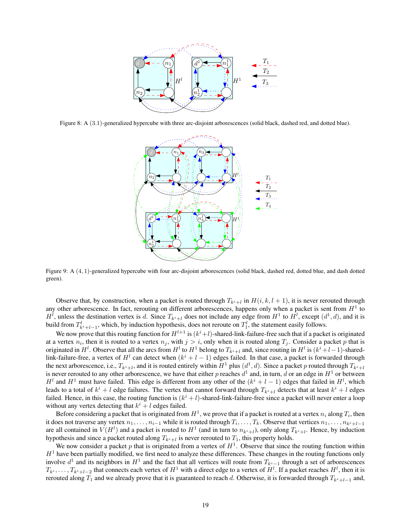<span id="page-18-0"></span>

<span id="page-18-1"></span>Figure 8: A (3.1)-generalized hypercube with three arc-disjoint arborescences (solid black, dashed red, and dotted blue).



Figure 9: A (4, 1)-generalized hypercube with four arc-disjoint arborescences (solid black, dashed red, dotted blue, and dash dotted green).

Observe that, by construction, when a packet is routed through  $T_{k^i+l}$  in  $H(i, k, l + 1)$ , it is never rerouted through any other arborescence. In fact, rerouting on different arborescences, happens only when a packet is sent from  $H<sup>1</sup>$  to  $H^l$ , unless the destination vertex is d. Since  $T_{k^i+l}$  does not include any edge from  $H^1$  to  $H^l$ , except  $(d^1, d)$ , and it is build from  $T_{k^i+l-1}^l$ , which, by induction hypothesis, does not reroute on  $T_1^l$ , the statement easily follows.

We now prove that this routing function for  $H^{l+1}$  is  $(k^i+l)$ -shared-link-failure-free such that if a packet is originated at a vertex  $n_i$ , then it is routed to a vertex  $n_j$ , with  $j > i$ , only when it is routed along  $T_j$ . Consider a packet p that is originated in  $H^l$ . Observe that all the arcs from  $H^l$  to  $H^1$  belong to  $T_{k^i+l}$  and, since routing in  $H^l$  is  $(k^i+l-1)$ -sharedlink-failure-free, a vertex of  $H^l$  can detect when  $(k^i + l - 1)$  edges failed. In that case, a packet is forwarded through the next arborescence, i.e.,  $T_{k-i}$ , and it is routed entirely within  $H^1$  plus  $(d^1, d)$ . Since a packet p routed through  $T_{k-i}$ is never rerouted to any other arborescence, we have that either p reaches  $d^1$  and, in turn, d or an edge in  $H^1$  or between  $H^l$  and  $H^1$  must have failed. This edge is different from any other of the  $(k^i + l - 1)$  edges that failed in  $H^l$ , which leads to a total of  $k^i + l$  edge failures. The vertex that cannot forward through  $T_{k^i+l}$  detects that at least  $k^i + l$  edges failed. Hence, in this case, the routing function is  $(k^i + l)$ -shared-link-failure-free since a packet will never enter a loop without any vertex detecting that  $k^i + l$  edges failed.

Before considering a packet that is originated from  $H^1$ , we prove that if a packet is routed at a vertex  $n_i$  along  $T_i$ , then it does not traverse any vertex  $n_1, \ldots, n_{i-1}$  while it is routed through  $T_i, \ldots, T_k$ . Observe that vertices  $n_1, \ldots, n_{k^i+l-1}$ are all contained in  $V(H^l)$  and a packet is routed to  $H^1$  (and in turn to  $n_{k^i+l}$ ), only along  $T_{k^i+l}$ . Hence, by induction hypothesis and since a packet routed along  $T_{k^i+l}$  is never rerouted to  $T_1$ , this property holds.

We now consider a packet p that is originated from a vertex of  $H<sup>1</sup>$ . Observe that since the routing function within  $H<sup>1</sup>$  have been partially modified, we first need to analyze these differences. These changes in the routing functions only involve  $d^1$  and its neighbors in  $H^1$  and the fact that all vertices will route from  $T_{k^i-1}$  through a set of arborescences  $T_{k^i}, \ldots, T_{k^i+l-2}$  that connects each vertex of  $H^1$  with a direct edge to a vertex of  $H^l$ . If a packet reaches  $H^l$ , then it is rerouted along  $T_1$  and we already prove that it is guaranteed to reach d. Otherwise, it is forwarded through  $T_{k^i+1-1}$  and,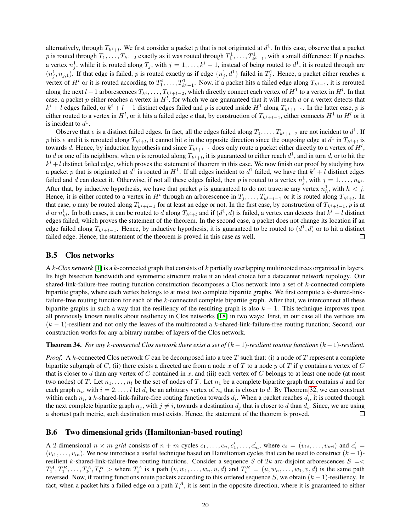alternatively, through  $T_{k+i}$ . We first consider a packet p that is not originated at  $d^1$ . In this case, observe that a packet p is routed through  $T_1, \ldots, T_{k^i-2}$  exactly as it was routed through  $T_1^1, \ldots, T_{k^i-1}^1$ , with a small difference: If p reaches a vertex  $n_j^1$ , while it is routed along  $T_j$ , with  $j = 1, ..., k^i - 1$ , instead of being routed to  $d^1$ , it is routed through arc  $(n_j^1, n_{j,1})$ . If that edge is failed, p is routed exactly as if edge  $\{n_j^1, d^1\}$  failed in  $T_j^1$ . Hence, a packet either reaches a vertex of  $H^l$  or it is routed according to  $T_1^i, \ldots, T_{k^i-1}^1$ . Now, if a packet hits a failed edge along  $T_{k^i-1}$ , it is rerouted along the next  $l-1$  arborescences  $T_{k^i},\ldots,T_{k^i+l-2}$ , which directly connect each vertex of  $H^1$  to a vertex in  $H^l$ . In that case, a packet p either reaches a vertex in  $H^l$ , for which we are guaranteed that it will reach d or a vertex detects that  $k^{i} + l$  edges failed, or  $k^{i} + l - 1$  distinct edges failed and p is routed inside  $H^{1}$  along  $T_{k^{i}+l-1}$ . In the latter case, p is either routed to a vertex in  $H^l$ , or it hits a failed edge  $e$  that, by construction of  $T_{k^i+l-1}$ , either connects  $H^1$  to  $H^l$  or it is incident to  $d^1$ .

Observe that *e* is a distinct failed edges. In fact, all the edges failed along  $T_1, \ldots, T_{k^i+l-2}$  are not incident to  $d^1$ . If p hits e and it is rerouted along  $T_{k^i+l}$ , it cannot hit e in the opposite direction since the outgoing edge at  $d^1$  in  $T_{k^i+l}$  is towards d. Hence, by induction hypothesis and since  $T_{k^i+l-1}$  does only route a packet either directly to a vertex of  $H^l$ , to  $d$  or one of its neighbors, when  $p$  is rerouted along  $T_{k^i+l}$ , it is guaranteed to either reach  $d^1$ , and in turn  $d$ , or to hit the  $k^{i} + l$  distinct failed edge, which proves the statement of theorem in this case. We now finish our proof by studying how a packet p that is originated at  $d^1$  is routed in  $H^1$ . If all edges incident to  $d^1$  failed, we have that  $k^i + l$  distinct edges failed and d can detect it. Otherwise, if not all these edges failed, then p is routed to a vertex  $n_j^1$ , with  $j = 1, \ldots, n_{k^i}$ . After that, by inductive hypothesis, we have that packet p is guaranteed to do not traverse any vertex  $n_h^1$ , with  $h < j$ . Hence, it is either routed to a vertex in  $H^l$  through an arborescence in  $T_j, \ldots, T_{k^i+l-1}$  or it is routed along  $T_{k^i+l}$ . In that case, p may be routed along  $T_{k^i+l-1}$  for at least an edge or not. In the first case, by construction of  $T_{k^i+l-1}$ , p is at d or  $n_{k}^{1}$ . In both cases, it can be routed to d along  $T_{k+1}$  and if  $(d^{1}, d)$  is failed, a vertex can detects that  $k^{i} + l$  distinct edges failed, which proves the statement of the theorem. In the second case, a packet does not change its location if an edge failed along  $T_{k+i-1}$ . Hence, by inductive hypothesis, it is guaranteed to be routed to  $(d^1, d)$  or to hit a distinct failed edge. Hence, the statement of the theorem is proved in this case as well. □

#### B.5 Clos networks

A k*-Clos network* [\[1\]](#page-10-23) is a k-connected graph that consists of k partially overlapping multirooted trees organized in layers. Its high bisection bandwidth and symmetric structure make it an ideal choice for a datacenter network topology. Our shared-link-failure-free routing function construction decomposes a Clos network into a set of k-connected complete bipartite graphs, where each vertex belongs to at most two complete bipartite graphs. We first compute a k-shared-linkfailure-free routing function for each of the k-connected complete bipartite graph. After that, we interconnect all these bipartite graphs in such a way that the resiliency of the resulting graph is also  $k - 1$ . This technique improves upon all previously known results about resiliency in Clos networks [\[18\]](#page-10-26) in two ways: First, in our case all the vertices are  $(k-1)$ -resilient and not only the leaves of the multirooted a k-shared-link-failure-free routing function; Second, our construction works for any arbitrary number of layers of the Clos network.

Theorem 34. *For any* k*-connected Clos network there exist a set of* (k − 1)*-resilient routing functions* (k − 1)*-resilient.*

*Proof.* A k-connected Clos network C can be decomposed into a tree T such that: (i) a node of T represent a complete bipartite subgraph of C, (ii) there exists a directed arc from a node x of T to a node y of T if y contains a vertex of C that is closer to d than any vertex of C contained in x, and (iii) each vertex of C belongs to at least one node (at most two nodes) of T. Let  $n_1, \ldots, n_l$  be the set of nodes of T. Let  $n_1$  be a complete bipartite graph that contains d and for each graph  $n_i$ , with  $i = 2, \ldots, l$  let  $d_i$  be an arbitrary vertex of  $n_i$  that is closer to d. By Theorem [32,](#page-16-0) we can construct within each  $n_i$ , a k-shared-link-failure-free routing function towards  $d_i$ . When a packet reaches  $d_i$ , it is routed through the next complete bipartite graph  $n_j$ , with  $j \neq i$ , towards a destination  $d_j$  that is closer to d than  $d_i$ . Since, we are using a shortest path metric, such destination must exists. Hence, the statement of the theorem is proved.  $\Box$ 

#### B.6 Two dimensional grids (Hamiltonian-based routing)

A 2-dimensional  $n \times m$  grid consists of  $n + m$  cycles  $c_1, \ldots, c_n, c'_1, \ldots, c'_m$ , where  $c_i = (v_{1i}, \ldots, v_{mi})$  and  $c'_i =$  $(v_{i1}, \ldots, v_{in})$ . We now introduce a useful technique based on Hamiltonian cycles that can be used to construct  $(k-1)$ resilient k-shared-link-failure-free routing functions. Consider a sequence S of 2k arc-disjoint arborescences  $S = \langle$  $T_1^A, T_1^B, \ldots, T_k^A, T_k^B$  > where  $T_i^A$  is a path  $(v, w_1, \ldots, w_n, u, d)$  and  $T_i^B = (u, w_n, \ldots, w_1, v, d)$  is the same path reversed. Now, if routing functions route packets according to this ordered sequence S, we obtain  $(k - 1)$ -resiliency. In fact, when a packet hits a failed edge on a path  $T_i^A$ , it is sent in the opposite direction, where it is guaranteed to either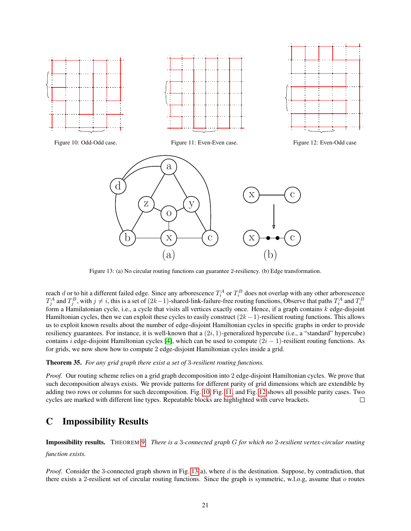<span id="page-20-2"></span><span id="page-20-1"></span>

Figure 13: (a) No circular routing functions can guarantee 2-resiliency. (b) Edge transformation.

reach d or to hit a different failed edge. Since any arborescence  $T_i^A$  or  $T_i^B$  does not overlap with any other arborescence  $T_j^A$  and  $T_j^B$ , with  $j\neq i$ , this is a set of  $(2k-1)$ -shared-link-failure-free routing functions, Observe that paths  $T_i^A$  and  $T_i^B$ form a Hamilatonian cycle, i.e., a cycle that visits all vertices exactly once. Hence, if a graph contains  $k$  edge-disjoint Hamiltonian cycles, then we can exploit these cycles to easily construct  $(2k-1)$ -resilient routing functions. This allows us to exploit known results about the number of edge-disjoint Hamiltonian cycles in specific graphs in order to provide resiliency guarantees. For instance, it is well-known that a  $(2i, 1)$ -generalized hypercube (i.e., a "standard" hypercube) contains i edge-disjoint Hamiltonian cycles [\[4\]](#page-10-27), which can be used to compute  $(2i - 1)$ -resilient routing functions. As for grids, we now show how to compute 2 edge-disjoint Hamiltonian cycles inside a grid.

#### Theorem 35. *For any grid graph there exist a set of* 3*-resilient routing functions.*

*Proof.* Our routing scheme relies on a grid graph decomposition into 2 edge-disjoint Hamiltonian cycles. We prove that such decomposition always exists. We provide patterns for different parity of grid dimensions which are extendible by adding two rows or columns for such decomposition. Fig. [10,](#page-20-1) Fig. [11,](#page-20-1) and Fig. [12](#page-20-1) shows all possible parity cases. Two cycles are marked with different line types. Repeatable blocks are highlighted with curve brackets. П

## <span id="page-20-0"></span>C Impossibility Results

Impossibility results. THEOREM [9.](#page-5-1) *There is a* 3*-connected graph* G *for which no* 2*-resilient vertex-circular routing function exists.*

*Proof.* Consider the 3-connected graph shown in Fig. [13\(](#page-20-2)a), where d is the destination. Suppose, by contradiction, that there exists a 2-resilient set of circular routing functions. Since the graph is symmetric, w.l.o.g, assume that  $o$  routes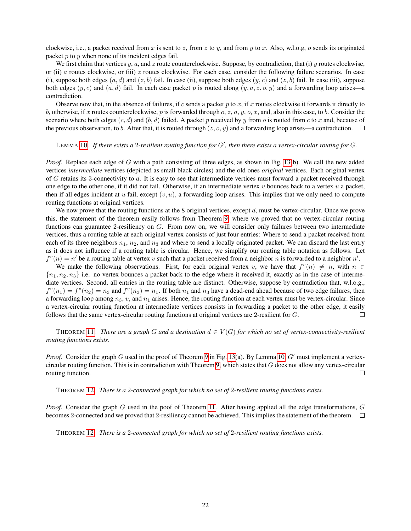clockwise, i.e., a packet received from x is sent to z, from z to y, and from y to x. Also, w.l.o.g, o sends its originated packet  $p$  to  $y$  when none of its incident edges fail.

We first claim that vertices  $y$ ,  $a$ , and  $z$  route counterclockwise. Suppose, by contradiction, that (i)  $y$  routes clockwise, or (ii) a routes clockwise, or (iii)  $z$  routes clockwise. For each case, consider the following failure scenarios. In case (i), suppose both edges  $(a, d)$  and  $(z, b)$  fail. In case (ii), suppose both edges  $(y, c)$  and  $(z, b)$  fail. In case (iii), suppose both edges  $(y, c)$  and  $(a, d)$  fail. In each case packet p is routed along  $(y, a, z, o, y)$  and a forwarding loop arises—a contradiction.

Observe now that, in the absence of failures, if c sends a packet p to x, if x routes clockwise it forwards it directly to b, otherwise, if x routes counterclockwise, p is forwarded through  $o, z, a, y, o, x$ , and, also in this case, to b. Consider the scenario where both edges  $(c, d)$  and  $(b, d)$  failed. A packet p received by y from o is routed from c to x and, because of the previous observation, to b. After that, it is routed through  $(z, o, y)$  and a forwarding loop arises—a contradiction.  $\square$ 

#### LEMMA [10.](#page-5-2) If there exists a 2-resilient routing function for G', then there exists a vertex-circular routing for G.

*Proof.* Replace each edge of G with a path consisting of three edges, as shown in Fig. [13\(](#page-20-2)b). We call the new added vertices *intermediate* vertices (depicted as small black circles) and the old ones *original* vertices. Each original vertex of  $G$  retains its 3-connectivity to  $d$ . It is easy to see that intermediate vertices must forward a packet received through one edge to the other one, if it did not fail. Otherwise, if an intermediate vertex  $v$  bounces back to a vertex  $u$  a packet, then if all edges incident at u fail, except  $(v, u)$ , a forwarding loop arises. This implies that we only need to compute routing functions at original vertices.

We now prove that the routing functions at the 8 original vertices, except  $d$ , must be vertex-circular. Once we prove this, the statement of the theorem easily follows from Theorem [9,](#page-5-1) where we proved that no vertex-circular routing functions can guarantee 2-resiliency on G. From now on, we will consider only failures between two intermediate vertices, thus a routing table at each original vertex consists of just four entries: Where to send a packet received from each of its three neighbors  $n_1$ ,  $n_2$ , and  $n_3$  and where to send a locally originated packet. We can discard the last entry as it does not influence if a routing table is circular. Hence, we simplify our routing table notation as follows. Let  $f^v(n) = n'$  be a routing table at vertex v such that a packet received from a neighbor n is forwarded to a neighbor n'.

We make the following observations. First, for each original vertex v, we have that  $f^v(n) \neq n$ , with  $n \in$  ${n_1, n_2, n_3}$  i.e. no vertex bounces a packet back to the edge where it received it, exactly as in the case of intermediate vertices. Second, all entries in the routing table are distinct. Otherwise, suppose by contradiction that, w.l.o.g.,  $f^v(n_1) = f^v(n_2) = n_3$  and  $f^v(n_3) = n_1$ . If both  $n_1$  and  $n_3$  have a dead-end ahead because of two edge failures, then a forwarding loop among  $n_3$ , v, and  $n_1$  arises. Hence, the routing function at each vertex must be vertex-circular. Since a vertex-circular routing function at intermediate vertices consists in forwarding a packet to the other edge, it easily follows that the same vertex-circular routing functions at original vertices are 2-resilient for G.  $\Box$ 

THEOREM [11.](#page-5-5) *There are a graph* G and a destination  $d \in V(G)$  for which no set of vertex-connectivity-resilient *routing functions exists.*

*Proof.* Consider the graph G used in the proof of Theorem [9](#page-5-1) in Fig. [13\(](#page-20-2)a). By Lemma [10,](#page-5-2)  $G'$  must implement a vertex-circular routing function. This is in contradiction with Theorem [9,](#page-5-1) which states that  $G$  does not allow any vertex-circular routing function.  $\Box$ 

THEOREM [12.](#page-5-3) *There is a* 2*-connected graph for which no set of* 2*-resilient routing functions exists.*

*Proof.* Consider the graph G used in the poof of Theorem [11.](#page-5-5) After having applied all the edge transformations, G becomes 2-connected and we proved that 2-resiliency cannot be achieved. This implies the statement of the theorem.

THEOREM [12.](#page-5-3) *There is a* 2*-connected graph for which no set of* 2*-resilient routing functions exists.*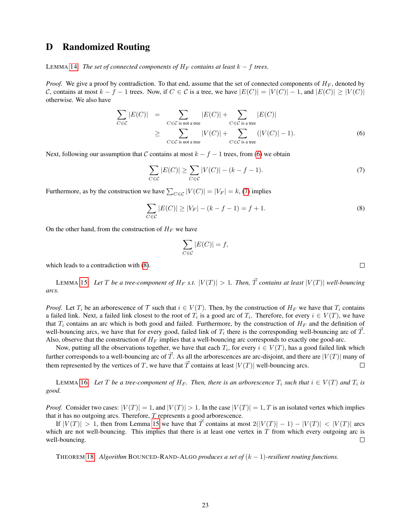## <span id="page-22-0"></span>D Randomized Routing

LEMMA [14.](#page-6-0) *The set of connected components of*  $H_F$  *contains at least*  $k - f$  *trees.* 

*Proof.* We give a proof by contradiction. To that end, assume that the set of connected components of  $H_F$ , denoted by C, contains at most  $k - f - 1$  trees. Now, if  $C \in \mathcal{C}$  is a tree, we have  $|E(C)| = |V(C)| - 1$ , and  $|E(C)| \geq |V(C)|$ otherwise. We also have

<span id="page-22-1"></span>
$$
\sum_{C \in \mathcal{C}} |E(C)| = \sum_{C \in \mathcal{C} \text{ is not a tree}} |E(C)| + \sum_{C \in \mathcal{C} \text{ is a tree}} |E(C)|
$$
\n
$$
\geq \sum_{C \in \mathcal{C} \text{ is not a tree}} |V(C)| + \sum_{C \in \mathcal{C} \text{ is a tree}} (|V(C)| - 1). \tag{6}
$$

Next, following our assumption that C contains at most  $k - f - 1$  trees, from [\(6\)](#page-22-1) we obtain

<span id="page-22-2"></span>
$$
\sum_{C \in \mathcal{C}} |E(C)| \ge \sum_{C \in \mathcal{C}} |V(C)| - (k - f - 1). \tag{7}
$$

Furthermore, as by the construction we have  $\sum_{C \in \mathcal{C}} |V(C)| = |V_F| = k$ , [\(7\)](#page-22-2) implies

<span id="page-22-3"></span>
$$
\sum_{C \in \mathcal{C}} |E(C)| \ge |V_F| - (k - f - 1) = f + 1.
$$
\n(8)

On the other hand, from the construction of  $H_F$  we have

$$
\sum_{C \in \mathcal{C}} |E(C)| = f,
$$

which leads to a contradiction with [\(8\)](#page-22-3).

LEMMA [15.](#page-6-1) Let T be a tree-component of  $H_F$  *s.t.*  $|V(T)| > 1$ . Then,  $\vec{T}$  contains at least  $|V(T)|$  well-bouncing *arcs.*

*Proof.* Let  $T_i$  be an arborescence of  $\mathcal T$  such that  $i \in V(T)$ . Then, by the construction of  $H_F$  we have that  $T_i$  contains a failed link. Next, a failed link closest to the root of  $T_i$  is a good arc of  $T_i$ . Therefore, for every  $i \in V(T)$ , we have that  $T_i$  contains an arc which is both good and failed. Furthermore, by the construction of  $H_F$  and the definition of well-bouncing arcs, we have that for every good, failed link of  $T_i$  there is the corresponding well-bouncing arc of  $\vec{T}$ . Also, observe that the construction of  $H_F$  implies that a well-bouncing arc corresponds to exactly one good-arc.

Now, putting all the observations together, we have that each  $T_i$ , for every  $i \in V(T)$ , has a good failed link which further corresponds to a well-bouncing arc of  $\vec{T}$ . As all the arborescences are arc-disjoint, and there are  $|V(T)|$  many of them represented by the vertices of T, we have that  $\vec{T}$  contains at least  $|V(T)|$  well-bouncing arcs.  $\Box$ 

LEMMA [16.](#page-6-2) Let T be a tree-component of  $H_F$ . Then, there is an arborescence  $T_i$  such that  $i \in V(T)$  and  $T_i$  is *good.*

*Proof.* Consider two cases:  $|V(T)| = 1$ , and  $|V(T)| > 1$ . In the case  $|V(T)| = 1$ , T is an isolated vertex which implies that it has no outgoing arcs. Therefore, T represents a good arborescence.

If  $|V(T)| > 1$ , then from Lemma [15](#page-6-1) we have that T contains at most  $2(|V(T)| - 1) - |V(T)| < |V(T)|$  arcs which are not well-bouncing. This implies that there is at least one vertex in  $T$  from which every outgoing arc is well-bouncing.  $\Box$ 

THEOREM [18.](#page-6-4) *Algorithm* BOUNCED-RAND-ALGO *produces a set of*  $(k-1)$ *-resilient routing functions.* 

 $\Box$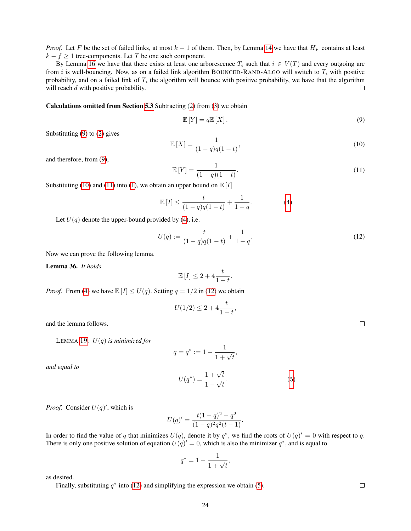*Proof.* Let F be the set of failed links, at most  $k - 1$  of them. Then, by Lemma [14](#page-6-0) we have that  $H_F$  contains at least  $k - f \geq 1$  tree-components. Let T be one such component.

By Lemma [16](#page-6-2) we have that there exists at least one arborescence  $T_i$  such that  $i \in V(T)$  and every outgoing arc from i is well-bouncing. Now, as on a failed link algorithm BOUNCED-RAND-ALGO will switch to  $T_i$  with positive probability, and on a failed link of  $T_i$  the algorithm will bounce with positive probability, we have that the algorithm will reach d with positive probability.  $\Box$ 

#### Calculations omitted from Section [5.3](#page-7-0) Subtracting [\(2\)](#page-7-1) from [\(3\)](#page-7-2) we obtain

<span id="page-23-0"></span>
$$
\mathbb{E}\left[Y\right] = q\mathbb{E}\left[X\right].\tag{9}
$$

Substituting [\(9\)](#page-23-0) to [\(2\)](#page-7-1) gives

<span id="page-23-1"></span>
$$
\mathbb{E}\left[X\right] = \frac{1}{(1-q)q(1-t)},\tag{10}
$$

and therefore, from [\(9\)](#page-23-0),

<span id="page-23-2"></span>
$$
\mathbb{E}\left[Y\right] = \frac{1}{(1-q)(1-t)}.\tag{11}
$$

Substituting [\(10\)](#page-23-1) and [\(11\)](#page-23-2) into [\(1\)](#page-7-3), we obtain an upper bound on  $\mathbb{E}[I]$ 

$$
\mathbb{E}\left[I\right] \le \frac{t}{(1-q)q(1-t)} + \frac{1}{1-q}.\tag{4}
$$

Let  $U(q)$  denote the upper-bound provided by [\(4\)](#page-7-4), i.e.

<span id="page-23-3"></span>
$$
U(q) := \frac{t}{(1-q)q(1-t)} + \frac{1}{1-q}.\tag{12}
$$

Now we can prove the following lemma.

Lemma 36. *It holds*

$$
\mathbb{E}[I] \le 2 + 4\frac{t}{1-t}.
$$

*Proof.* From [\(4\)](#page-7-4) we have  $\mathbb{E}[I] \le U(q)$ . Setting  $q = 1/2$  in [\(12\)](#page-23-3) we obtain

$$
U(1/2) \le 2 + 4\frac{t}{1-t},
$$

and the lemma follows.

LEMMA [19.](#page-7-5) U(q) *is minimized for*

$$
q = q^* := 1 - \frac{1}{1 + \sqrt{t}},
$$

*and equal to*

$$
U(q^*) = \frac{1 + \sqrt{t}}{1 - \sqrt{t}}.\tag{5}
$$

*Proof.* Consider  $U(q)$ , which is

$$
U(q)' = \frac{t(1-q)^2 - q^2}{(1-q)^2 q^2 (t-1)}.
$$

In order to find the value of q that minimizes  $U(q)$ , denote it by  $q^*$ , we find the roots of  $U(q)' = 0$  with respect to q. There is only one positive solution of equation  $U(q)' = 0$ , which is also the minimizer  $q^*$ , and is equal to

$$
q^* = 1 - \frac{1}{1 + \sqrt{t}},
$$

as desired.

Finally, substituting  $q^*$  into [\(12\)](#page-23-3) and simplifying the expression we obtain [\(5\)](#page-7-6).

 $\Box$ 

 $\Box$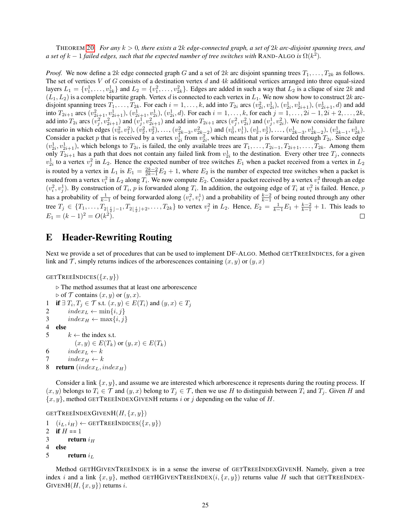THEOREM [20.](#page-7-7) *For any* k > 0*, there exists a* 2k *edge-connected graph, a set of* 2k *arc-disjoint spanning trees, and a set of*  $k-1$  *failed edges, such that the expected number of tree switches with* RAND-ALGO *is*  $\Omega(k^2)$ .

*Proof.* We now define a 2k edge connected graph G and a set of 2k arc disjoint spanning trees  $T_1, \ldots, T_{2k}$  as follows. The set of vertices V of G consists of a destination vertex d and  $4k$  additional vertices arranged into three equal-sized layers  $L_1 = \{v_1^1, \ldots, v_{2k}^1\}$  and  $L_2 = \{v_1^2, \ldots, v_{2k}^2\}$ . Edges are added in such a way that  $L_2$  is a clique of size  $2k$  and  $(L_1, L_2)$  is a complete bipartite graph. Vertex d is connected to each vertex in  $L_1$ . We now show how to construct  $2k$  arcdisjoint spanning trees  $T_1, \ldots, T_{2k}$ . For each  $i = 1, \ldots, k$ , add into  $T_{2i}$  arcs  $(v_{2i}^2, v_{2i}^1), (v_{2i}^1, v_{2i+1}^1), (v_{2i+1}^1, d)$  and add into  $T_{2i+1}$  arcs  $(v_{2i+1}^2, v_{2i+1}^1), (v_{2i+1}^1, v_{2i}^1), (v_{2i}^1, d)$ . For each  $i = 1, \ldots, k$ , for each  $j = 1, \ldots, 2i-1, 2i+2, \ldots, 2k$ , add into  $T_{2i}$  arcs  $(v_j^2, v_{2i+1}^2)$  and  $(v_j^1, v_{2i+1}^2)$  and add into  $T_{2i+1}$  arcs  $(v_j^2, v_{2i}^2)$  and  $(v_j^1, v_{2i}^2)$ . We now consider the failure scenario in which edges  $(v_0^2, v_1^2), (v_2^2, v_2^2), \ldots, (v_{2k-3}^2, v_{2k-2}^2)$  and  $(v_0^1, v_1^1), (v_2^1, v_2^1), \ldots, (v_{2k-3}^1, v_{2k-2}^1), (v_{2k-1}^1, v_{2k}^1)$ . Consider a packet p that is received by a vertex  $v_{2i}^1$  from  $v_{2i}^2$ , which means that p is forwarded through  $T_{2i}$ . Since edge  $(v_{2i}^1, v_{2i+1}^1)$ , which belongs to  $T_{2i}$ , is failed, the only available trees are  $T_1, \ldots, T_{2i-1}, T_{2i+1}, \ldots, T_{2k}$ . Among them only  $T_{2i+1}$  has a path that does not contain any failed link from  $v_{2i}^1$  to the destination. Every other tree  $T_j$ , connects  $v_{2i}^1$  to a vertex  $v_j^2$  in  $L_2$ . Hence the expected number of tree switches  $E_1$  when a packet received from a vertex in  $L_2$ is routed by a vertex in  $L_1$  is  $E_1 = \frac{2k-2}{2k-1}E_2 + 1$ , where  $E_2$  is the number of expected tree switches when a packet is routed from a vertex  $v_i^2$  in  $L_2$  along  $T_i$ . We now compute  $E_2$ . Consider a packet received by a vertex  $v_i^2$  through an edge  $(v_i^2, v_j^1)$ . By construction of  $T_i$ , p is forwarded along  $T_i$ . In addition, the outgoing edge of  $T_i$  at  $v_i^2$  is failed. Hence, p has a probability of  $\frac{1}{k-1}$  of being forwarded along  $(v_i^2, v_i^1)$  and a probability of  $\frac{k-2}{k-1}$  of being routed through any other tree  $T_j \in \{T_1, \ldots, T_{2\lfloor \frac{i}{2} \rfloor - 1}, T_{2\lfloor \frac{i}{2} \rfloor + 2}, \ldots, T_{2k}\}\$  to vertex  $v_j^2$  in  $L_2$ . Hence,  $E_2 = \frac{1}{k-1}E_1 + \frac{k-2}{k-1} + 1$ . This leads to  $E_1 = (k-1)^2 = O(k^2).$ П

### <span id="page-24-0"></span>E Header-Rewriting Routing

Next we provide a set of procedures that can be used to implement DF-ALGO. Method GETTREEINDICES, for a given link and  $\mathcal T$ , simply returns indices of the arborescences containing  $(x, y)$  or  $(y, x)$ 

GETTREEINDICES $({x, y})$ 

```
\triangleright The method assumes that at least one arborescence
    \triangleright of \mathcal T contains (x, y) or (y, x).
1 if \exists T_i, T_j \in \mathcal{T} s.t. (x, y) \in E(T_i) and (y, x) \in T_j2 index_L \leftarrow min\{i, j\}3 index_H \leftarrow max\{i, j\}4 else
5 k \leftarrow the index s.t.
              (x, y) \in E(T_k) or (y, x) \in E(T_k)6 index<sub>L</sub> \leftarrow k7 index_H \leftarrow k8 return ʻindex<sub>L</sub>, index<sub>H</sub>)
```
Consider a link  $\{x, y\}$ , and assume we are interested which arborescence it represents during the routing process. If  $(x, y)$  belongs to  $T_i \in \mathcal{T}$  and  $(y, x)$  belong to  $T_j \in \mathcal{T}$ , then we use H to distinguish between  $T_i$  and  $T_j$ . Given H and  ${x, y}$ , method GETTREEINDEXGIVENH returns i or j depending on the value of H.

```
GETTREEINDEXGIVENH(H, \{x, y\})
```

```
1 \quad (i_L, i_H) \leftarrow \text{GETTreeINDICES}(\{x, y\})2 if H = 13 return i_H4 else
5 return i_L
```
Method GETHGIVENTREEINDEX is in a sense the inverse of GETTREEINDEXGIVENH. Namely, given a tree index i and a link  $\{x, y\}$ , method GETHGIVENTREEINDEX $(i, \{x, y\})$  returns value H such that GETTREEINDEX-GIVENH $(H, \{x, y\})$  returns i.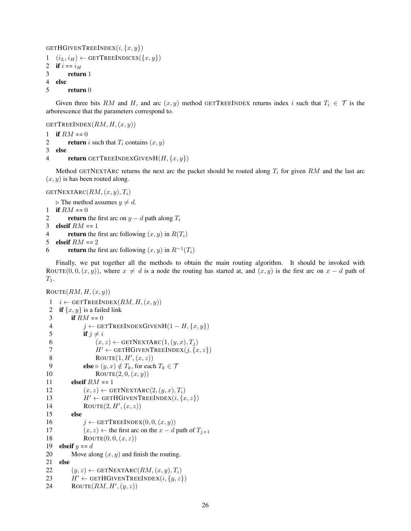```
GETHGIVENTREEINDEX(i, \{x, y\})
```

```
1 \quad (i_L, i_H) \leftarrow \text{GETTreeINDICES}(\{x, y\})2 if i == i_H3 return 1
4 else
```

```
5 return 0
```
Given three bits RM and H, and arc  $(x, y)$  method GETTREEINDEX returns index i such that  $T_i \in \mathcal{T}$  is the arborescence that the parameters correspond to.

GETTREEINDEX( $RM, H, (x, y)$ )

- 1 if  $RM = 0$
- 2 return i such that  $T_i$  contains  $(x, y)$
- 3 else
- 4 return GETTREEINDEXGIVENH $(H, \{x, y\})$

Method GETNEXTARC returns the next arc the packet should be routed along  $T_i$  for given RM and the last arc  $(x, y)$  is has been routed along.

GETNEXTARC $(RM, (x, y), T_i)$ 

 $\triangleright$  The method assumes  $y \neq d$ .

```
1 if RM = 0
```
2 return the first arc on  $y - d$  path along  $T_i$ 

```
3 elseif RM = 1
```

```
4 return the first arc following (x, y) in R(T_i)
```

```
5 elseif RM = 2
```

```
6 return the first arc following (x, y) in R^{-1}(T_i)
```
Finally, we put together all the methods to obtain the main routing algorithm. It should be invoked with ROUTE(0, 0,  $(x, y)$ ), where  $x \neq d$  is a node the routing has started at, and  $(x, y)$  is the first arc on  $x - d$  path of  $T_1$ .

```
\text{ROUTE}(RM, H, (x, y))1 \quad i \leftarrow GETTREEINDEX(RM, H, (x, y))2 if \{x, y\} is a failed link
 3 if RM = 04 j \leftarrow GETTREEINDEXGIVENH(1 - H, \{x, y\})5 if j \neq i6 (x, z) \leftarrow \text{GETNextARC}(1, (y, x), T_j)<br>
H' \leftarrow \text{GETHGIVERTreeINDEX}(i, \{x, y\})H' \leftarrow GETHGIVENTREEINDEX(j, \{x, z\})8 ROUTE(1, H', (x, z))9 else \triangleright (y, x) \notin T_k, for each T_k \in \mathcal{T}10 \text{ROUTE}(2, 0, (x, y))11 elseif RM = 112 (x, z) \leftarrow \text{GETNextARC}(2, (y, x), T_i)13 H' \leftarrow \text{GETHGIVENTREEINDER}(i, \{x, z\})14 \text{ROUTE}(2, H', (x, z))15 else
16 j \leftarrow GETTREEINDEX(0, 0, (x, y))17 (x, z) \leftarrow the first arc on the x - d path of T_{j+1}18 ROUTE(0, 0, (x, z))19 elseif y = d20 Move along (x, y) and finish the routing.
21 else
22 (y, z) \leftarrow GETNEXTARC(RM, (x, y), T_i)23 H' \leftarrow GETHGIVENTREEINDEX(i, \{y, z\})24 ROUTE(RM, H', (y, z))
```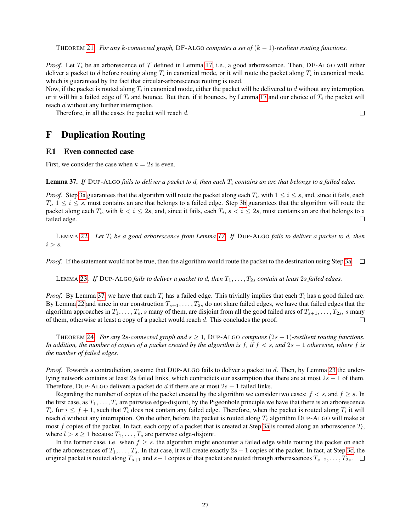THEOREM [21.](#page-8-2) *For any* k-connected graph, DF-ALGO computes a set of  $(k-1)$ -resilient routing functions.

*Proof.* Let  $T_i$  be an arborescence of  $T$  defined in Lemma [17,](#page-6-3) i.e., a good arborescence. Then, DF-ALGO will either deliver a packet to  $d$  before routing along  $T_i$  in canonical mode, or it will route the packet along  $T_i$  in canonical mode, which is guaranteed by the fact that circular-arborescence routing is used.

Now, if the packet is routed along  $T_i$  in canonical mode, either the packet will be delivered to  $d$  without any interruption, or it will hit a failed edge of  $T_i$  and bounce. But then, if it bounces, by Lemma [17](#page-6-3) and our choice of  $T_i$  the packet will reach d without any further interruption.

 $\Box$ 

Therefore, in all the cases the packet will reach d.

### <span id="page-26-0"></span>F Duplication Routing

#### F.1 Even connected case

First, we consider the case when  $k = 2s$  is even.

<span id="page-26-1"></span>Lemma 37. If DUP-ALGO fails to deliver a packet to d, then each  $T_i$  contains an arc that belongs to a failed edge.

*Proof.* Step [3a](#page-9-4) guarantees that the algorithm will route the packet along each  $T_i$ , with  $1 \le i \le s$ , and, since it fails, each  $T_i$ ,  $1 \leq i \leq s$ , must contains an arc that belongs to a failed edge. Step [3b](#page-9-5) guarantees that the algorithm will route the packet along each  $T_i$ , with  $k < i \le 2s$ , and, since it fails, each  $T_i$ ,  $s < i \le 2s$ , must contains an arc that belongs to a failed edge. □

LEMMA [22.](#page-9-2) *Let* T<sup>i</sup> *be a good arborescence from Lemma [17.](#page-6-3) If* DUP-ALGO *fails to deliver a packet to* d*, then*  $i > s$ .

*Proof.* If the statement would not be true, then the algorithm would route the packet to the destination using Step [3a.](#page-9-4)  $\Box$ 

LEMMA [23.](#page-9-3) If DUP-ALGO *fails to deliver a packet to d, then*  $T_1, \ldots, T_{2s}$  *contain at least* 2s *failed edges.* 

*Proof.* By Lemma [37,](#page-26-1) we have that each  $T_i$  has a failed edge. This trivially implies that each  $T_i$  has a good failed arc. By Lemma [22](#page-9-2) and since in our construction  $T_{s+1}, \ldots, T_{2s}$  do not share failed edges, we have that failed edges that the algorithm approaches in  $T_1, \ldots, T_s$ , s many of them, are disjoint from all the good failed arcs of  $T_{s+1}, \ldots, T_{2s}$ , s many of them, otherwise at least a copy of a packet would reach d. This concludes the proof.  $\Box$ 

THEOREM [24.](#page-9-6) *For any* 2s-connected graph and  $s \geq 1$ , DUP-ALGO computes  $(2s - 1)$ -resilient routing functions. *In addition, the number of copies of a packet created by the algorithm is* f*, if* f < s*, and* 2s − 1 *otherwise, where* f *is the number of failed edges.*

*Proof.* Towards a contradiction, assume that DUP-ALGO fails to deliver a packet to d. Then, by Lemma [23](#page-9-3) the underlying network contains at least 2s failed links, which contradicts our assumption that there are at most  $2s - 1$  of them. Therefore, DUP-ALGO delivers a packet do d if there are at most  $2s - 1$  failed links.

Regarding the number of copies of the packet created by the algorithm we consider two cases:  $f < s$ , and  $f \geq s$ . In the first case, as  $T_1, \ldots, T_s$  are pairwise edge-disjoint, by the Pigeonhole principle we have that there is an arborescence  $T_i$ , for  $i \leq f+1$ , such that  $T_i$  does not contain any failed edge. Therefore, when the packet is routed along  $T_i$  it will reach d without any interruption. On the other, before the packet is routed along  $T_i$  algorithm DUP-ALGO will make at most f copies of the packet. In fact, each copy of a packet that is created at Step [3a](#page-9-4) is routed along an arborescence  $T_l$ , where  $l > s \geq 1$  because  $T_1, \ldots, T_s$  are pairwise edge-disjoint.

In the former case, i.e. when  $f \geq s$ , the algorithm might encounter a failed edge while routing the packet on each of the arborescences of  $T_1, \ldots, T_s$ . In that case, it will create exactly  $2s - 1$  copies of the packet. In fact, at Step [3c,](#page-9-7) the original packet is routed along  $T_{s+1}$  and  $s-1$  copies of that packet are routed through arborescences  $T_{s+2}, \ldots, T_{2s}$ .  $\Box$